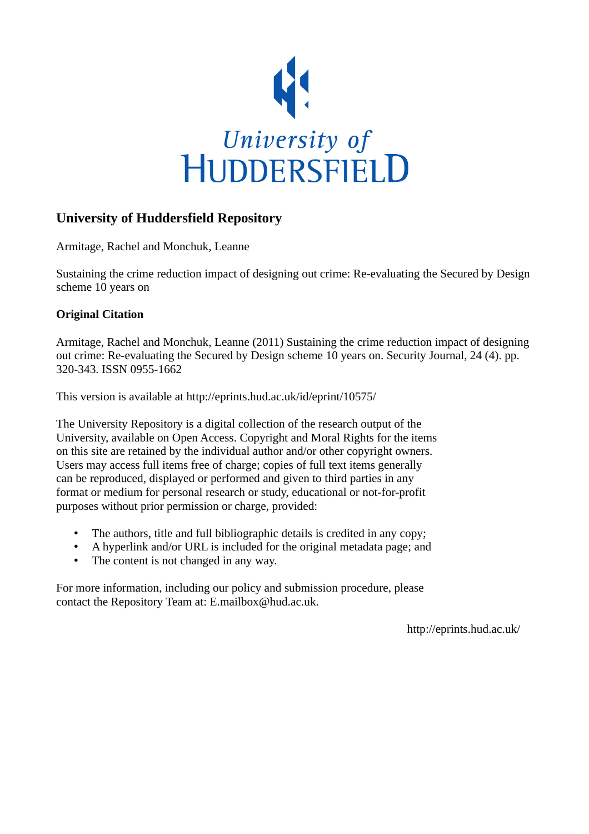

## **University of Huddersfield Repository**

Armitage, Rachel and Monchuk, Leanne

Sustaining the crime reduction impact of designing out crime: Re-evaluating the Secured by Design scheme 10 years on

## **Original Citation**

Armitage, Rachel and Monchuk, Leanne (2011) Sustaining the crime reduction impact of designing out crime: Re-evaluating the Secured by Design scheme 10 years on. Security Journal, 24 (4). pp. 320-343. ISSN 0955-1662

This version is available at http://eprints.hud.ac.uk/id/eprint/10575/

The University Repository is a digital collection of the research output of the University, available on Open Access. Copyright and Moral Rights for the items on this site are retained by the individual author and/or other copyright owners. Users may access full items free of charge; copies of full text items generally can be reproduced, displayed or performed and given to third parties in any format or medium for personal research or study, educational or not-for-profit purposes without prior permission or charge, provided:

- The authors, title and full bibliographic details is credited in any copy;
- A hyperlink and/or URL is included for the original metadata page; and
- The content is not changed in any way.

For more information, including our policy and submission procedure, please contact the Repository Team at: E.mailbox@hud.ac.uk.

http://eprints.hud.ac.uk/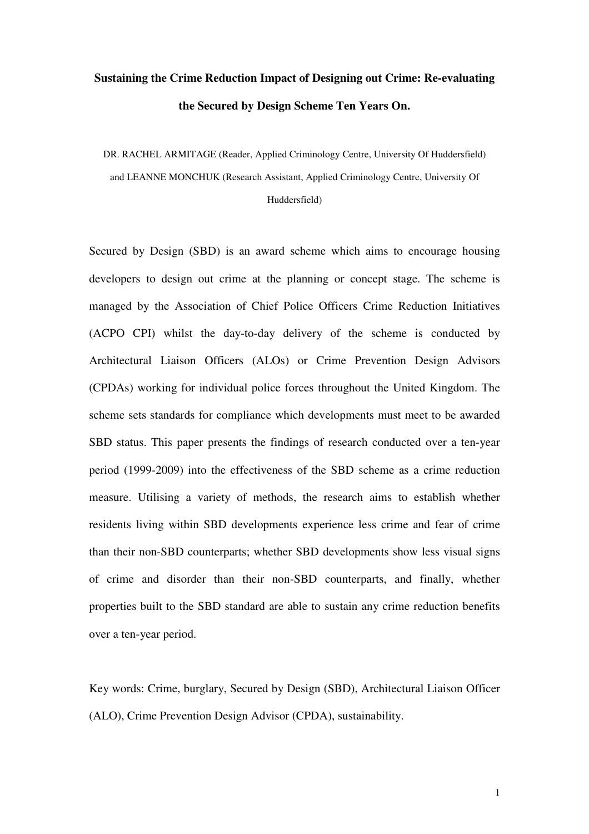# **Sustaining the Crime Reduction Impact of Designing out Crime: Re-evaluating the Secured by Design Scheme Ten Years On.**

DR. RACHEL ARMITAGE (Reader, Applied Criminology Centre, University Of Huddersfield) and LEANNE MONCHUK (Research Assistant, Applied Criminology Centre, University Of Huddersfield)

Secured by Design (SBD) is an award scheme which aims to encourage housing developers to design out crime at the planning or concept stage. The scheme is managed by the Association of Chief Police Officers Crime Reduction Initiatives (ACPO CPI) whilst the day-to-day delivery of the scheme is conducted by Architectural Liaison Officers (ALOs) or Crime Prevention Design Advisors (CPDAs) working for individual police forces throughout the United Kingdom. The scheme sets standards for compliance which developments must meet to be awarded SBD status. This paper presents the findings of research conducted over a ten-year period (1999-2009) into the effectiveness of the SBD scheme as a crime reduction measure. Utilising a variety of methods, the research aims to establish whether residents living within SBD developments experience less crime and fear of crime than their non-SBD counterparts; whether SBD developments show less visual signs of crime and disorder than their non-SBD counterparts, and finally, whether properties built to the SBD standard are able to sustain any crime reduction benefits over a ten-year period.

Key words: Crime, burglary, Secured by Design (SBD), Architectural Liaison Officer (ALO), Crime Prevention Design Advisor (CPDA), sustainability.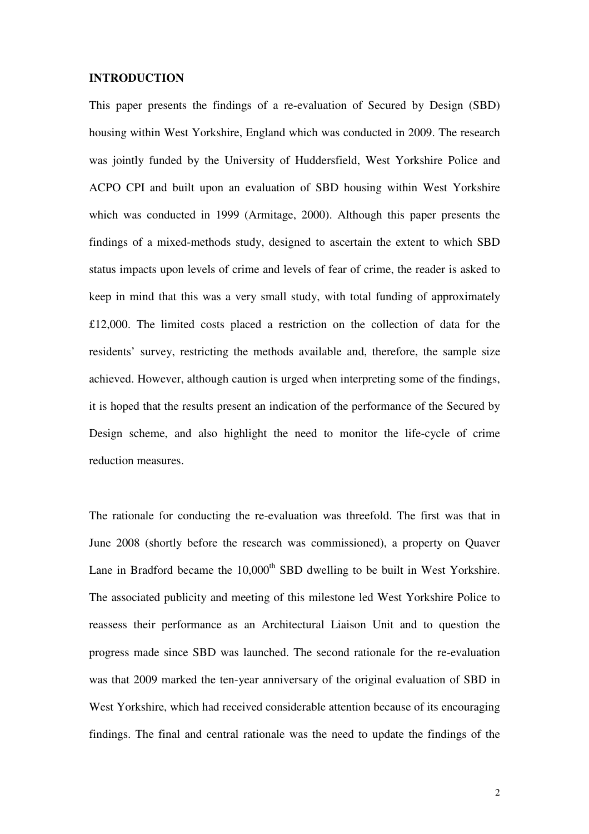#### **INTRODUCTION**

This paper presents the findings of a re-evaluation of Secured by Design (SBD) housing within West Yorkshire, England which was conducted in 2009. The research was jointly funded by the University of Huddersfield, West Yorkshire Police and ACPO CPI and built upon an evaluation of SBD housing within West Yorkshire which was conducted in 1999 (Armitage, 2000). Although this paper presents the findings of a mixed-methods study, designed to ascertain the extent to which SBD status impacts upon levels of crime and levels of fear of crime, the reader is asked to keep in mind that this was a very small study, with total funding of approximately £12,000. The limited costs placed a restriction on the collection of data for the residents' survey, restricting the methods available and, therefore, the sample size achieved. However, although caution is urged when interpreting some of the findings, it is hoped that the results present an indication of the performance of the Secured by Design scheme, and also highlight the need to monitor the life-cycle of crime reduction measures.

The rationale for conducting the re-evaluation was threefold. The first was that in June 2008 (shortly before the research was commissioned), a property on Quaver Lane in Bradford became the  $10,000<sup>th</sup>$  SBD dwelling to be built in West Yorkshire. The associated publicity and meeting of this milestone led West Yorkshire Police to reassess their performance as an Architectural Liaison Unit and to question the progress made since SBD was launched. The second rationale for the re-evaluation was that 2009 marked the ten-year anniversary of the original evaluation of SBD in West Yorkshire, which had received considerable attention because of its encouraging findings. The final and central rationale was the need to update the findings of the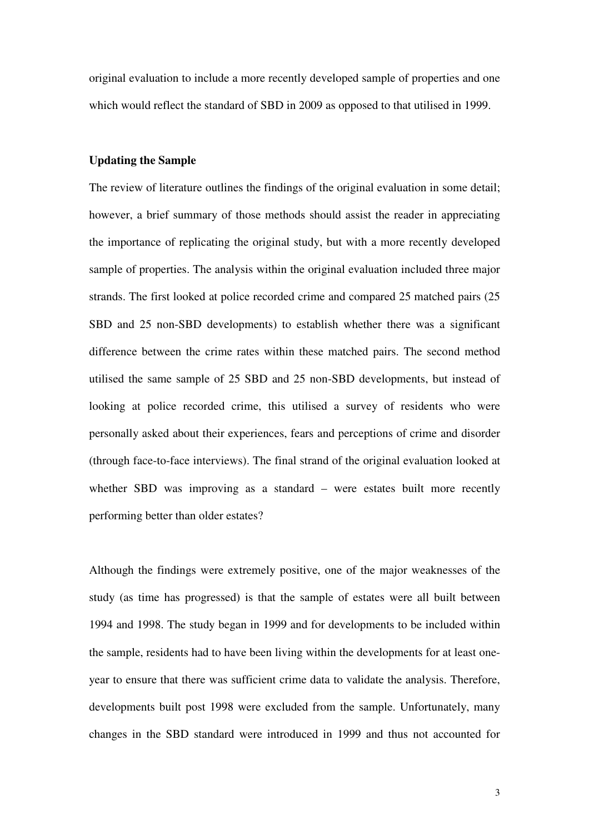original evaluation to include a more recently developed sample of properties and one which would reflect the standard of SBD in 2009 as opposed to that utilised in 1999.

#### **Updating the Sample**

The review of literature outlines the findings of the original evaluation in some detail; however, a brief summary of those methods should assist the reader in appreciating the importance of replicating the original study, but with a more recently developed sample of properties. The analysis within the original evaluation included three major strands. The first looked at police recorded crime and compared 25 matched pairs (25 SBD and 25 non-SBD developments) to establish whether there was a significant difference between the crime rates within these matched pairs. The second method utilised the same sample of 25 SBD and 25 non-SBD developments, but instead of looking at police recorded crime, this utilised a survey of residents who were personally asked about their experiences, fears and perceptions of crime and disorder (through face-to-face interviews). The final strand of the original evaluation looked at whether SBD was improving as a standard – were estates built more recently performing better than older estates?

Although the findings were extremely positive, one of the major weaknesses of the study (as time has progressed) is that the sample of estates were all built between 1994 and 1998. The study began in 1999 and for developments to be included within the sample, residents had to have been living within the developments for at least oneyear to ensure that there was sufficient crime data to validate the analysis. Therefore, developments built post 1998 were excluded from the sample. Unfortunately, many changes in the SBD standard were introduced in 1999 and thus not accounted for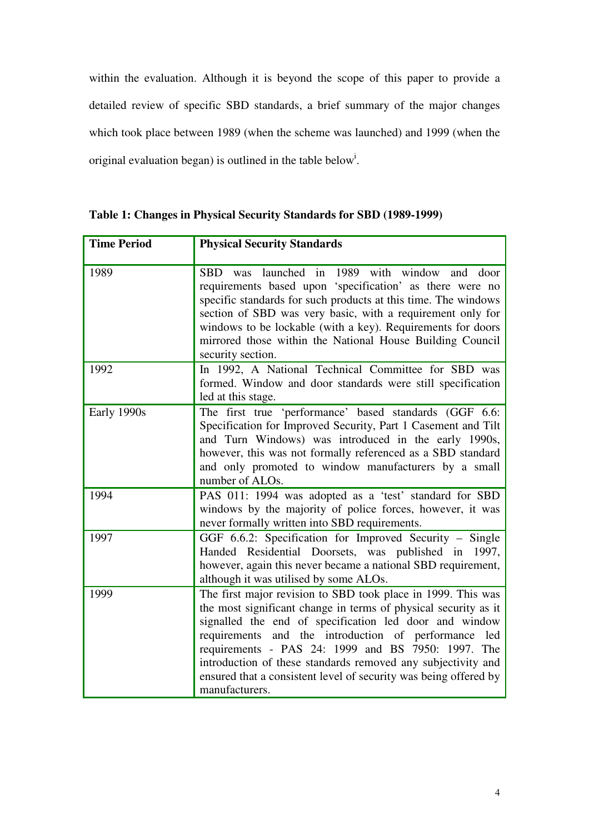within the evaluation. Although it is beyond the scope of this paper to provide a detailed review of specific SBD standards, a brief summary of the major changes which took place between 1989 (when the scheme was launched) and 1999 (when the original evaluation began) is outlined in the table below<sup>i</sup>.

| <b>Time Period</b> | <b>Physical Security Standards</b>                                                                                                                                                                                                                                                                                                                                                                                                                            |
|--------------------|---------------------------------------------------------------------------------------------------------------------------------------------------------------------------------------------------------------------------------------------------------------------------------------------------------------------------------------------------------------------------------------------------------------------------------------------------------------|
| 1989               | launched in 1989 with window and door<br><b>SBD</b><br>was<br>requirements based upon 'specification' as there were no<br>specific standards for such products at this time. The windows<br>section of SBD was very basic, with a requirement only for<br>windows to be lockable (with a key). Requirements for doors<br>mirrored those within the National House Building Council<br>security section.                                                       |
| 1992               | In 1992, A National Technical Committee for SBD was<br>formed. Window and door standards were still specification<br>led at this stage.                                                                                                                                                                                                                                                                                                                       |
| Early 1990s        | The first true 'performance' based standards (GGF 6.6:<br>Specification for Improved Security, Part 1 Casement and Tilt<br>and Turn Windows) was introduced in the early 1990s,<br>however, this was not formally referenced as a SBD standard<br>and only promoted to window manufacturers by a small<br>number of ALOs.                                                                                                                                     |
| 1994               | PAS 011: 1994 was adopted as a 'test' standard for SBD<br>windows by the majority of police forces, however, it was<br>never formally written into SBD requirements.                                                                                                                                                                                                                                                                                          |
| 1997               | GGF 6.6.2: Specification for Improved Security – Single<br>Handed Residential Doorsets, was published in 1997,<br>however, again this never became a national SBD requirement,<br>although it was utilised by some ALOs.                                                                                                                                                                                                                                      |
| 1999               | The first major revision to SBD took place in 1999. This was<br>the most significant change in terms of physical security as it<br>signalled the end of specification led door and window<br>requirements and the introduction of performance led<br>requirements - PAS 24: 1999 and BS 7950: 1997. The<br>introduction of these standards removed any subjectivity and<br>ensured that a consistent level of security was being offered by<br>manufacturers. |

**Table 1: Changes in Physical Security Standards for SBD (1989-1999)**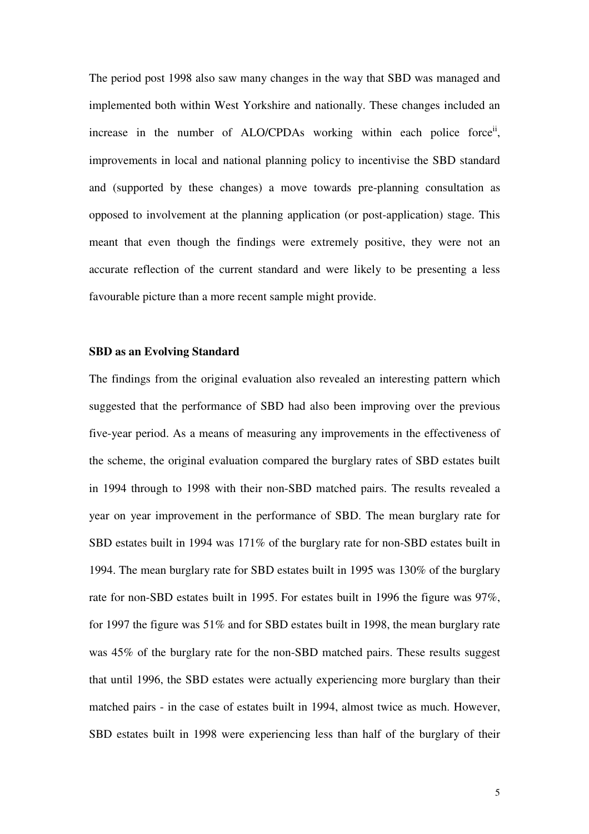The period post 1998 also saw many changes in the way that SBD was managed and implemented both within West Yorkshire and nationally. These changes included an increase in the number of ALO/CPDAs working within each police force<sup>ii</sup>, improvements in local and national planning policy to incentivise the SBD standard and (supported by these changes) a move towards pre-planning consultation as opposed to involvement at the planning application (or post-application) stage. This meant that even though the findings were extremely positive, they were not an accurate reflection of the current standard and were likely to be presenting a less favourable picture than a more recent sample might provide.

#### **SBD as an Evolving Standard**

The findings from the original evaluation also revealed an interesting pattern which suggested that the performance of SBD had also been improving over the previous five-year period. As a means of measuring any improvements in the effectiveness of the scheme, the original evaluation compared the burglary rates of SBD estates built in 1994 through to 1998 with their non-SBD matched pairs. The results revealed a year on year improvement in the performance of SBD. The mean burglary rate for SBD estates built in 1994 was 171% of the burglary rate for non-SBD estates built in 1994. The mean burglary rate for SBD estates built in 1995 was 130% of the burglary rate for non-SBD estates built in 1995. For estates built in 1996 the figure was 97%, for 1997 the figure was 51% and for SBD estates built in 1998, the mean burglary rate was 45% of the burglary rate for the non-SBD matched pairs. These results suggest that until 1996, the SBD estates were actually experiencing more burglary than their matched pairs - in the case of estates built in 1994, almost twice as much. However, SBD estates built in 1998 were experiencing less than half of the burglary of their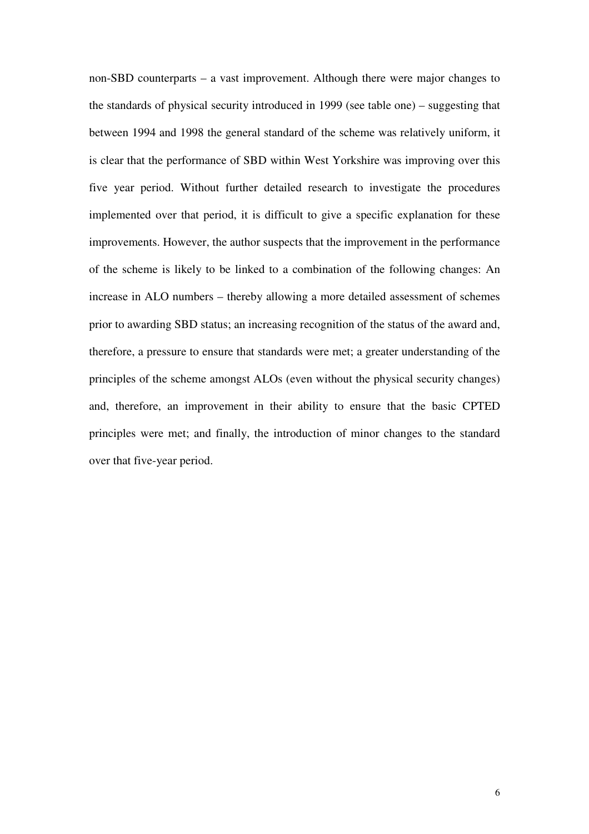non-SBD counterparts – a vast improvement. Although there were major changes to the standards of physical security introduced in 1999 (see table one) – suggesting that between 1994 and 1998 the general standard of the scheme was relatively uniform, it is clear that the performance of SBD within West Yorkshire was improving over this five year period. Without further detailed research to investigate the procedures implemented over that period, it is difficult to give a specific explanation for these improvements. However, the author suspects that the improvement in the performance of the scheme is likely to be linked to a combination of the following changes: An increase in ALO numbers – thereby allowing a more detailed assessment of schemes prior to awarding SBD status; an increasing recognition of the status of the award and, therefore, a pressure to ensure that standards were met; a greater understanding of the principles of the scheme amongst ALOs (even without the physical security changes) and, therefore, an improvement in their ability to ensure that the basic CPTED principles were met; and finally, the introduction of minor changes to the standard over that five-year period.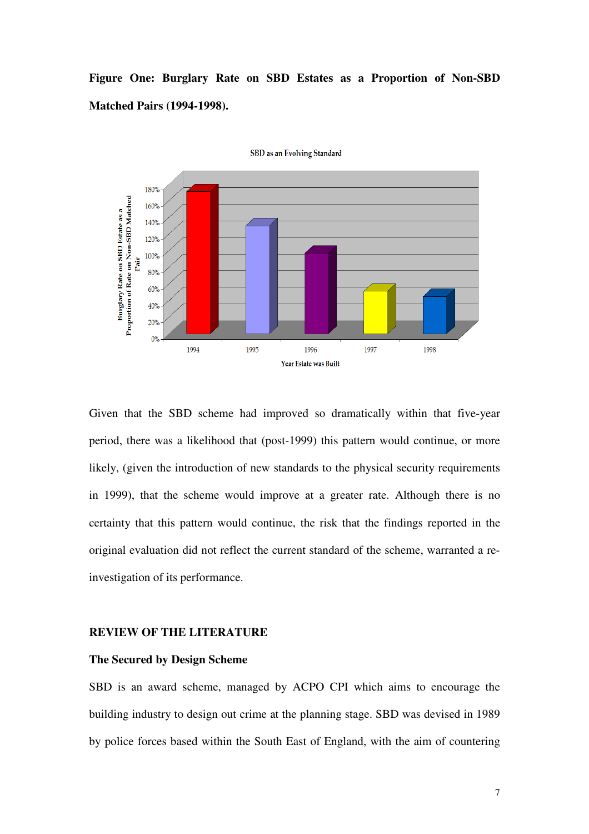**Figure One: Burglary Rate on SBD Estates as a Proportion of Non-SBD Matched Pairs (1994-1998).** 



Given that the SBD scheme had improved so dramatically within that five-year period, there was a likelihood that (post-1999) this pattern would continue, or more likely, (given the introduction of new standards to the physical security requirements in 1999), that the scheme would improve at a greater rate. Although there is no certainty that this pattern would continue, the risk that the findings reported in the original evaluation did not reflect the current standard of the scheme, warranted a re-

investigation of its performance.

#### **REVIEW OF THE LITERATURE**

#### **The Secured by Design Scheme**

SBD is an award scheme, managed by ACPO CPI which aims to encourage the building industry to design out crime at the planning stage. SBD was devised in 1989 by police forces based within the South East of England, with the aim of countering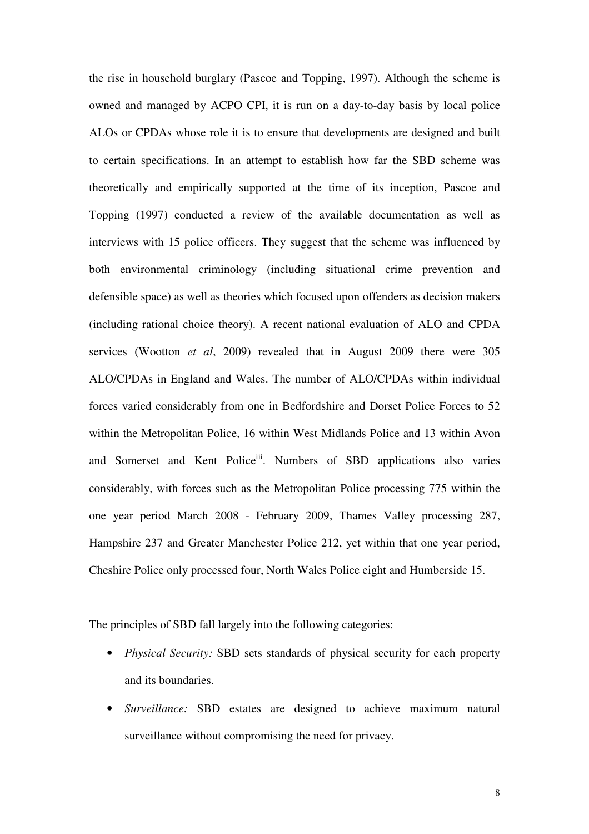the rise in household burglary (Pascoe and Topping, 1997). Although the scheme is owned and managed by ACPO CPI, it is run on a day-to-day basis by local police ALOs or CPDAs whose role it is to ensure that developments are designed and built to certain specifications. In an attempt to establish how far the SBD scheme was theoretically and empirically supported at the time of its inception, Pascoe and Topping (1997) conducted a review of the available documentation as well as interviews with 15 police officers. They suggest that the scheme was influenced by both environmental criminology (including situational crime prevention and defensible space) as well as theories which focused upon offenders as decision makers (including rational choice theory). A recent national evaluation of ALO and CPDA services (Wootton *et al*, 2009) revealed that in August 2009 there were 305 ALO/CPDAs in England and Wales. The number of ALO/CPDAs within individual forces varied considerably from one in Bedfordshire and Dorset Police Forces to 52 within the Metropolitan Police, 16 within West Midlands Police and 13 within Avon and Somerset and Kent Police<sup>iii</sup>. Numbers of SBD applications also varies considerably, with forces such as the Metropolitan Police processing 775 within the one year period March 2008 - February 2009, Thames Valley processing 287, Hampshire 237 and Greater Manchester Police 212, yet within that one year period, Cheshire Police only processed four, North Wales Police eight and Humberside 15.

The principles of SBD fall largely into the following categories:

- *Physical Security:* SBD sets standards of physical security for each property and its boundaries.
- *Surveillance:* SBD estates are designed to achieve maximum natural surveillance without compromising the need for privacy.

8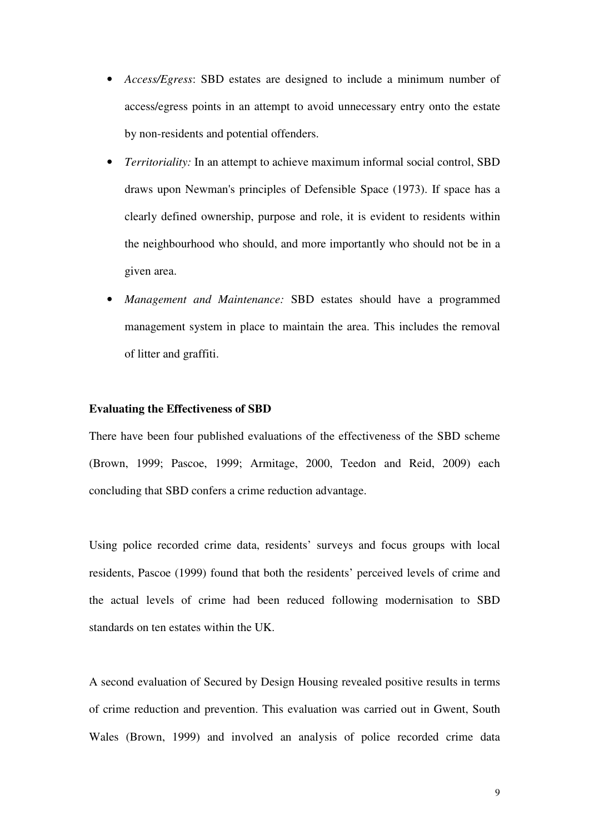- *Access/Egress*: SBD estates are designed to include a minimum number of access/egress points in an attempt to avoid unnecessary entry onto the estate by non-residents and potential offenders.
- *Territoriality:* In an attempt to achieve maximum informal social control, SBD draws upon Newman's principles of Defensible Space (1973). If space has a clearly defined ownership, purpose and role, it is evident to residents within the neighbourhood who should, and more importantly who should not be in a given area.
- *Management and Maintenance:* SBD estates should have a programmed management system in place to maintain the area. This includes the removal of litter and graffiti.

#### **Evaluating the Effectiveness of SBD**

There have been four published evaluations of the effectiveness of the SBD scheme (Brown, 1999; Pascoe, 1999; Armitage, 2000, Teedon and Reid, 2009) each concluding that SBD confers a crime reduction advantage.

Using police recorded crime data, residents' surveys and focus groups with local residents, Pascoe (1999) found that both the residents' perceived levels of crime and the actual levels of crime had been reduced following modernisation to SBD standards on ten estates within the UK.

A second evaluation of Secured by Design Housing revealed positive results in terms of crime reduction and prevention. This evaluation was carried out in Gwent, South Wales (Brown, 1999) and involved an analysis of police recorded crime data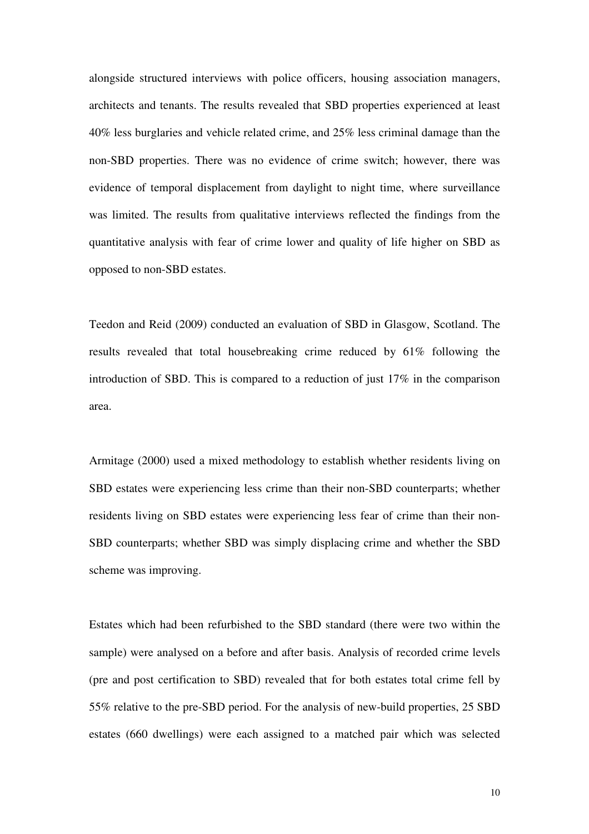alongside structured interviews with police officers, housing association managers, architects and tenants. The results revealed that SBD properties experienced at least 40% less burglaries and vehicle related crime, and 25% less criminal damage than the non-SBD properties. There was no evidence of crime switch; however, there was evidence of temporal displacement from daylight to night time, where surveillance was limited. The results from qualitative interviews reflected the findings from the quantitative analysis with fear of crime lower and quality of life higher on SBD as opposed to non-SBD estates.

Teedon and Reid (2009) conducted an evaluation of SBD in Glasgow, Scotland. The results revealed that total housebreaking crime reduced by 61% following the introduction of SBD. This is compared to a reduction of just 17% in the comparison area.

Armitage (2000) used a mixed methodology to establish whether residents living on SBD estates were experiencing less crime than their non-SBD counterparts; whether residents living on SBD estates were experiencing less fear of crime than their non-SBD counterparts; whether SBD was simply displacing crime and whether the SBD scheme was improving.

Estates which had been refurbished to the SBD standard (there were two within the sample) were analysed on a before and after basis. Analysis of recorded crime levels (pre and post certification to SBD) revealed that for both estates total crime fell by 55% relative to the pre-SBD period. For the analysis of new-build properties, 25 SBD estates (660 dwellings) were each assigned to a matched pair which was selected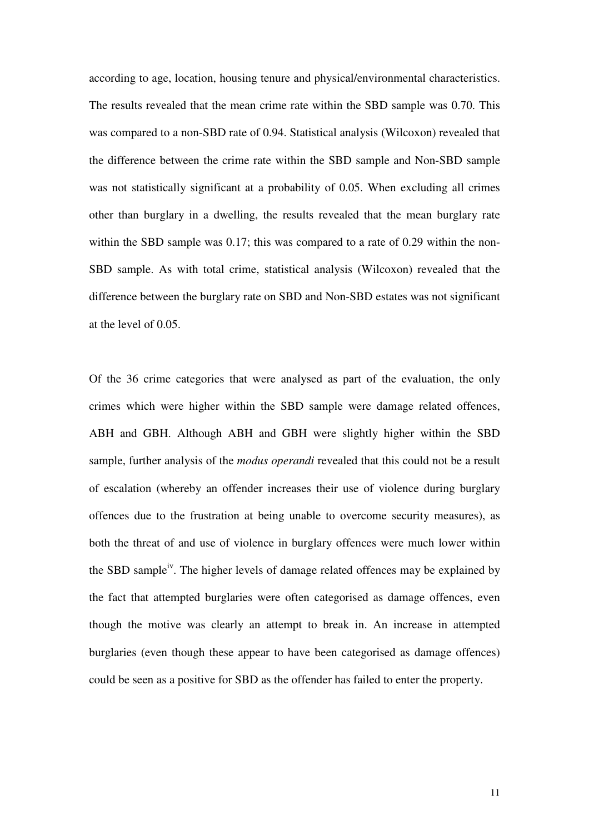according to age, location, housing tenure and physical/environmental characteristics. The results revealed that the mean crime rate within the SBD sample was 0.70. This was compared to a non-SBD rate of 0.94. Statistical analysis (Wilcoxon) revealed that the difference between the crime rate within the SBD sample and Non-SBD sample was not statistically significant at a probability of 0.05. When excluding all crimes other than burglary in a dwelling, the results revealed that the mean burglary rate within the SBD sample was 0.17; this was compared to a rate of 0.29 within the non-SBD sample. As with total crime, statistical analysis (Wilcoxon) revealed that the difference between the burglary rate on SBD and Non-SBD estates was not significant at the level of 0.05.

Of the 36 crime categories that were analysed as part of the evaluation, the only crimes which were higher within the SBD sample were damage related offences, ABH and GBH. Although ABH and GBH were slightly higher within the SBD sample, further analysis of the *modus operandi* revealed that this could not be a result of escalation (whereby an offender increases their use of violence during burglary offences due to the frustration at being unable to overcome security measures), as both the threat of and use of violence in burglary offences were much lower within the SBD sample<sup>iv</sup>. The higher levels of damage related offences may be explained by the fact that attempted burglaries were often categorised as damage offences, even though the motive was clearly an attempt to break in. An increase in attempted burglaries (even though these appear to have been categorised as damage offences) could be seen as a positive for SBD as the offender has failed to enter the property.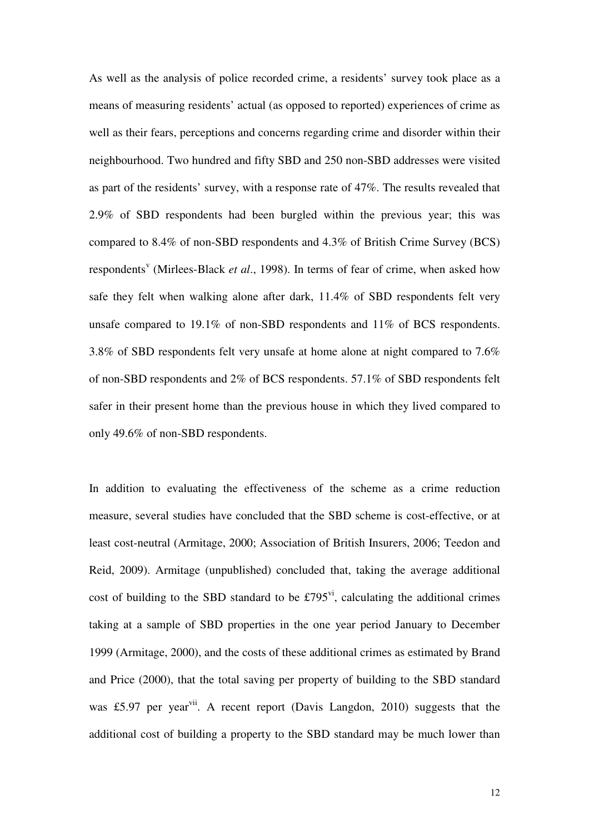As well as the analysis of police recorded crime, a residents' survey took place as a means of measuring residents' actual (as opposed to reported) experiences of crime as well as their fears, perceptions and concerns regarding crime and disorder within their neighbourhood. Two hundred and fifty SBD and 250 non-SBD addresses were visited as part of the residents' survey, with a response rate of 47%. The results revealed that 2.9% of SBD respondents had been burgled within the previous year; this was compared to 8.4% of non-SBD respondents and 4.3% of British Crime Survey (BCS) respondents<sup>v</sup> (Mirlees-Black *et al.*, 1998). In terms of fear of crime, when asked how safe they felt when walking alone after dark, 11.4% of SBD respondents felt very unsafe compared to 19.1% of non-SBD respondents and 11% of BCS respondents. 3.8% of SBD respondents felt very unsafe at home alone at night compared to 7.6% of non-SBD respondents and 2% of BCS respondents. 57.1% of SBD respondents felt safer in their present home than the previous house in which they lived compared to only 49.6% of non-SBD respondents.

In addition to evaluating the effectiveness of the scheme as a crime reduction measure, several studies have concluded that the SBD scheme is cost-effective, or at least cost-neutral (Armitage, 2000; Association of British Insurers, 2006; Teedon and Reid, 2009). Armitage (unpublished) concluded that, taking the average additional cost of building to the SBD standard to be £795 $\mathrm{v}^{\mathrm{i}}$ , calculating the additional crimes taking at a sample of SBD properties in the one year period January to December 1999 (Armitage, 2000), and the costs of these additional crimes as estimated by Brand and Price (2000), that the total saving per property of building to the SBD standard was £5.97 per year<sup>vii</sup>. A recent report (Davis Langdon, 2010) suggests that the additional cost of building a property to the SBD standard may be much lower than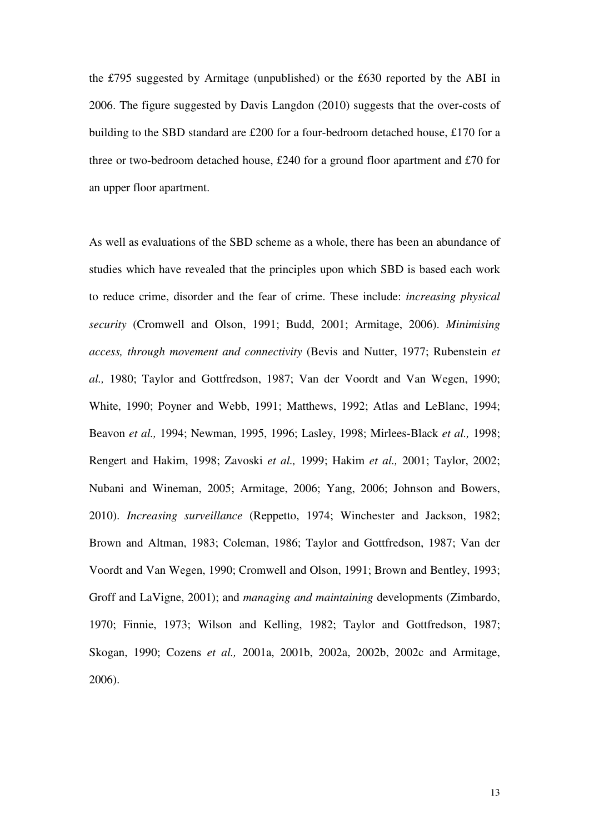the £795 suggested by Armitage (unpublished) or the £630 reported by the ABI in 2006. The figure suggested by Davis Langdon (2010) suggests that the over-costs of building to the SBD standard are £200 for a four-bedroom detached house, £170 for a three or two-bedroom detached house, £240 for a ground floor apartment and £70 for an upper floor apartment.

As well as evaluations of the SBD scheme as a whole, there has been an abundance of studies which have revealed that the principles upon which SBD is based each work to reduce crime, disorder and the fear of crime. These include: *increasing physical security* (Cromwell and Olson, 1991; Budd, 2001; Armitage, 2006). *Minimising access, through movement and connectivity* (Bevis and Nutter, 1977; Rubenstein *et al.,* 1980; Taylor and Gottfredson, 1987; Van der Voordt and Van Wegen, 1990; White, 1990; Poyner and Webb, 1991; Matthews, 1992; Atlas and LeBlanc, 1994; Beavon *et al.,* 1994; Newman, 1995, 1996; Lasley, 1998; Mirlees-Black *et al.,* 1998; Rengert and Hakim, 1998; Zavoski *et al.,* 1999; Hakim *et al.,* 2001; Taylor, 2002; Nubani and Wineman, 2005; Armitage, 2006; Yang, 2006; Johnson and Bowers, 2010). *Increasing surveillance* (Reppetto, 1974; Winchester and Jackson, 1982; Brown and Altman, 1983; Coleman, 1986; Taylor and Gottfredson, 1987; Van der Voordt and Van Wegen, 1990; Cromwell and Olson, 1991; Brown and Bentley, 1993; Groff and LaVigne, 2001); and *managing and maintaining* developments (Zimbardo, 1970; Finnie, 1973; Wilson and Kelling, 1982; Taylor and Gottfredson, 1987; Skogan, 1990; Cozens *et al.,* 2001a, 2001b, 2002a, 2002b, 2002c and Armitage, 2006).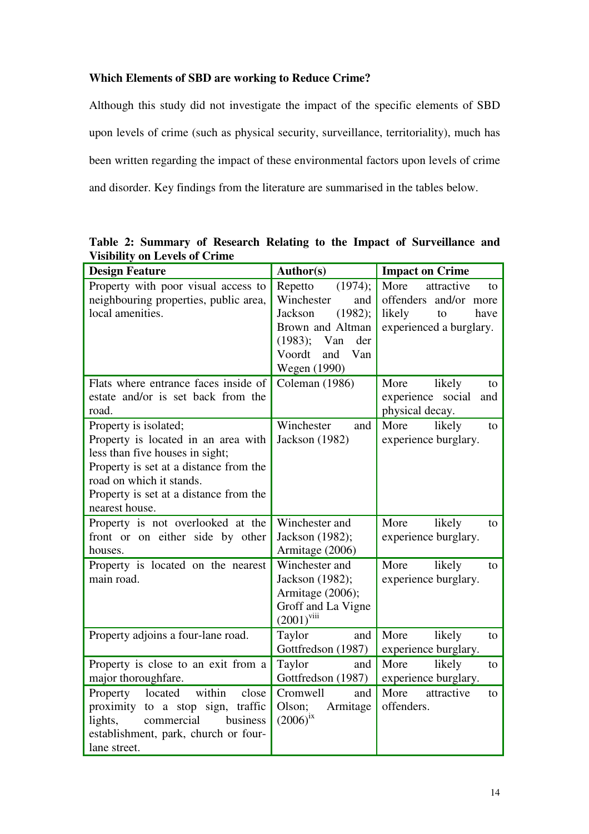## **Which Elements of SBD are working to Reduce Crime?**

Although this study did not investigate the impact of the specific elements of SBD upon levels of crime (such as physical security, surveillance, territoriality), much has been written regarding the impact of these environmental factors upon levels of crime and disorder. Key findings from the literature are summarised in the tables below.

| <b>Design Feature</b>                                                                                                                                                                                                             | Author(s)                                                                                      | <b>Impact on Crime</b>                                                                               |
|-----------------------------------------------------------------------------------------------------------------------------------------------------------------------------------------------------------------------------------|------------------------------------------------------------------------------------------------|------------------------------------------------------------------------------------------------------|
| Property with poor visual access to<br>neighbouring properties, public area,<br>local amenities.                                                                                                                                  | Repetto<br>(1974);<br>Winchester<br>and<br>(1982);<br>Jackson<br>Brown and Altman              | More<br>attractive<br>to<br>offenders and/or more<br>likely<br>to<br>have<br>experienced a burglary. |
|                                                                                                                                                                                                                                   | (1983);<br>Van<br>der<br>Voordt<br>and<br>Van<br>Wegen (1990)                                  |                                                                                                      |
| Flats where entrance faces inside of<br>estate and/or is set back from the<br>road.                                                                                                                                               | Coleman (1986)                                                                                 | More<br>likely<br>to<br>experience social<br>and<br>physical decay.                                  |
| Property is isolated;<br>Property is located in an area with<br>less than five houses in sight;<br>Property is set at a distance from the<br>road on which it stands.<br>Property is set at a distance from the<br>nearest house. | Winchester<br>and<br><b>Jackson</b> (1982)                                                     | More<br>likely<br>to<br>experience burglary.                                                         |
| Property is not overlooked at the<br>front or on either side by other<br>houses.                                                                                                                                                  | Winchester and<br>Jackson (1982);<br>Armitage (2006)                                           | More<br>likely<br>to<br>experience burglary.                                                         |
| Property is located on the nearest<br>main road.                                                                                                                                                                                  | Winchester and<br>Jackson (1982);<br>Armitage (2006);<br>Groff and La Vigne<br>$(2001)^{viii}$ | More<br>likely<br>to<br>experience burglary.                                                         |
| Property adjoins a four-lane road.                                                                                                                                                                                                | Taylor<br>and<br>Gottfredson (1987)                                                            | More<br>likely<br>to<br>experience burglary.                                                         |
| Property is close to an exit from a<br>major thoroughfare.                                                                                                                                                                        | Taylor<br>and<br>Gottfredson (1987)                                                            | More<br>likely<br>to<br>experience burglary.                                                         |
| located<br>within<br>Property<br>close<br>proximity to a stop sign, traffic<br>commercial<br>business<br>lights,<br>establishment, park, church or four-<br>lane street.                                                          | Cromwell<br>and<br>Olson;<br>Armitage<br>$(2006)^{ix}$                                         | More<br>attractive<br>to<br>offenders.                                                               |

**Table 2: Summary of Research Relating to the Impact of Surveillance and Visibility on Levels of Crime**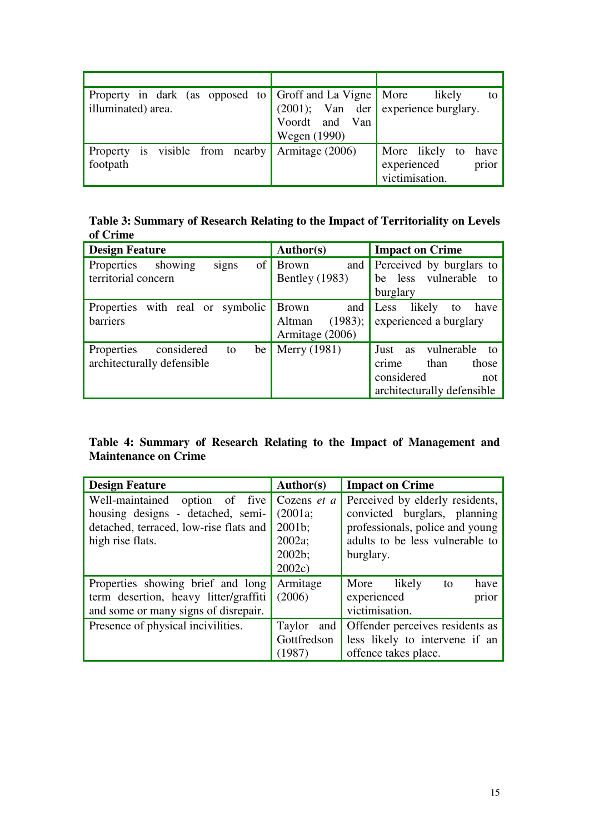| Property in dark (as opposed to Groff and La Vigne   More<br>illuminated) area. | Voordt and Van<br>Wegen (1990) | likely<br>$(2001)$ ; Van der experience burglary.                |
|---------------------------------------------------------------------------------|--------------------------------|------------------------------------------------------------------|
| Property is visible from nearby Armitage $(2006)$<br>footpath                   |                                | More likely to<br>have<br>experienced<br>prior<br>victimisation. |

## **Table 3: Summary of Research Relating to the Impact of Territoriality on Levels of Crime**

| <b>Design Feature</b>                                              | <b>Author(s)</b>                                     | <b>Impact on Crime</b>                                                                                             |  |
|--------------------------------------------------------------------|------------------------------------------------------|--------------------------------------------------------------------------------------------------------------------|--|
| signs<br>of<br>Properties showing<br>territorial concern           | Brown<br>and<br><b>Bentley</b> (1983)                | Perceived by burglars to<br>be less vulnerable<br>$\overline{t}$<br>burglary                                       |  |
| Properties with real or symbolic<br>barriers                       | Brown<br>and<br>(1983);<br>Altman<br>Armitage (2006) | likely to<br>have<br>Less<br>experienced a burglary                                                                |  |
| considered<br>Properties<br>to<br>be<br>architecturally defensible | Merry (1981)                                         | Just as vulnerable<br>$\overline{10}$<br>crime<br>than<br>those<br>considered<br>not<br>architecturally defensible |  |

### **Table 4: Summary of Research Relating to the Impact of Management and Maintenance on Crime**

| <b>Design Feature</b>                                                                                                             | Author(s)                                     | <b>Impact on Crime</b>                                                                                                                |  |  |
|-----------------------------------------------------------------------------------------------------------------------------------|-----------------------------------------------|---------------------------------------------------------------------------------------------------------------------------------------|--|--|
| Well-maintained option of five<br>housing designs - detached, semi-<br>detached, terraced, low-rise flats and<br>high rise flats. | Cozens et a<br>(2001a;<br>2001b;<br>$2002a$ ; | Perceived by elderly residents,<br>convicted burglars, planning<br>professionals, police and young<br>adults to be less vulnerable to |  |  |
|                                                                                                                                   | 2002b;<br>2002c                               | burglary.                                                                                                                             |  |  |
| Properties showing brief and long<br>term desertion, heavy litter/graffiti<br>and some or many signs of disrepair.                | Armitage<br>(2006)                            | More likely<br>have<br>to<br>experienced<br>prior<br>victimisation.                                                                   |  |  |
| Presence of physical incivilities.                                                                                                | Taylor<br>and<br>Gottfredson<br>(1987)        | Offender perceives residents as<br>less likely to intervene if an<br>offence takes place.                                             |  |  |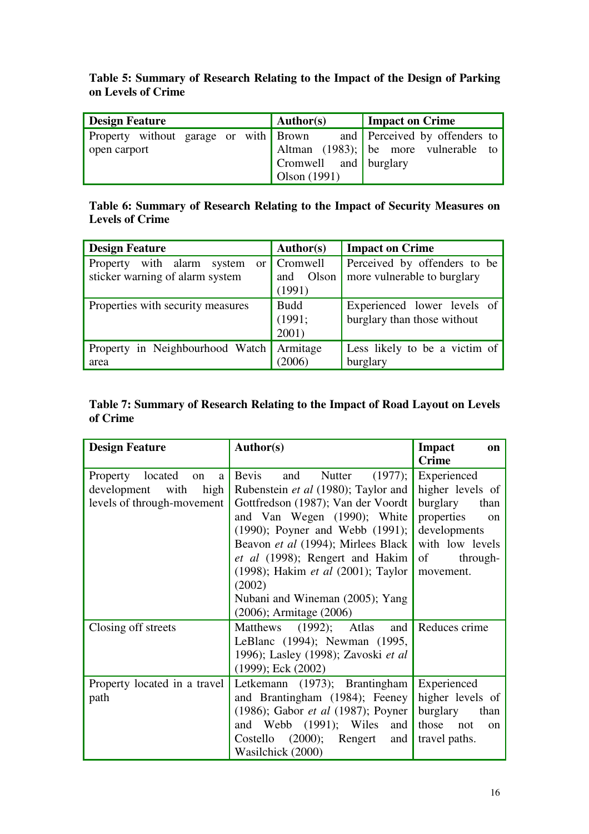## **Table 5: Summary of Research Relating to the Impact of the Design of Parking on Levels of Crime**

| <b>Design Feature</b>                 | Author(s)             | Impact on Crime                      |  |  |
|---------------------------------------|-----------------------|--------------------------------------|--|--|
| Property without garage or with Brown |                       | and Perceived by offenders to        |  |  |
| open carport                          |                       | Altman (1983); be more vulnerable to |  |  |
|                                       | Cromwell and burglary |                                      |  |  |
|                                       | Olson (1991)          |                                      |  |  |

## **Table 6: Summary of Research Relating to the Impact of Security Measures on Levels of Crime**

| <b>Design Feature</b>                                                        | Author(s)                              | <b>Impact on Crime</b>                                      |  |
|------------------------------------------------------------------------------|----------------------------------------|-------------------------------------------------------------|--|
| Property with alarm<br>system<br>$\alpha$<br>sticker warning of alarm system | <b>Cromwell</b><br>and Olson<br>(1991) | Perceived by offenders to be<br>more vulnerable to burglary |  |
| Properties with security measures                                            | <b>Budd</b><br>(1991;<br>2001)         | Experienced lower levels of<br>burglary than those without  |  |
| Property in Neighbourhood Watch<br>area                                      | Armitage<br>(2006)                     | Less likely to be a victim of<br>burglary                   |  |

## **Table 7: Summary of Research Relating to the Impact of Road Layout on Levels of Crime**

| <b>Design Feature</b>                                                                 | <b>Author(s)</b>                                                                                                                                                                                                                                                                                                                                                               | Impact<br><b>on</b>                                                                                                                                  |
|---------------------------------------------------------------------------------------|--------------------------------------------------------------------------------------------------------------------------------------------------------------------------------------------------------------------------------------------------------------------------------------------------------------------------------------------------------------------------------|------------------------------------------------------------------------------------------------------------------------------------------------------|
|                                                                                       |                                                                                                                                                                                                                                                                                                                                                                                | <b>Crime</b>                                                                                                                                         |
| Property located<br>on<br>a<br>development with<br>high<br>levels of through-movement | Bevis<br>and<br>(1977);<br>Nutter<br>Rubenstein et al (1980); Taylor and<br>Gottfredson (1987); Van der Voordt<br>and Van Wegen (1990); White<br>(1990); Poyner and Webb (1991);<br>Beavon et al (1994); Mirlees Black<br>et al (1998); Rengert and Hakim<br>(1998); Hakim <i>et al</i> (2001); Taylor<br>(2002)<br>Nubani and Wineman (2005); Yang<br>(2006); Armitage (2006) | Experienced<br>higher levels of<br>burglary<br>than<br>properties<br><sub>on</sub><br>developments<br>with low levels<br>of<br>through-<br>movement. |
| Closing off streets                                                                   | Matthews (1992); Atlas<br>and<br>LeBlanc (1994); Newman (1995,<br>1996); Lasley (1998); Zavoski et al<br>(1999); Eck (2002)                                                                                                                                                                                                                                                    | Reduces crime                                                                                                                                        |
| Property located in a travel<br>path                                                  | Letkemann (1973); Brantingham<br>and Brantingham (1984); Feeney<br>(1986); Gabor et al (1987); Poyner<br>and Webb (1991); Wiles<br>and<br>Costello (2000); Rengert<br>and<br>Wasilchick (2000)                                                                                                                                                                                 | Experienced<br>higher levels of<br>burglary<br>than<br>those not<br><sub>on</sub><br>travel paths.                                                   |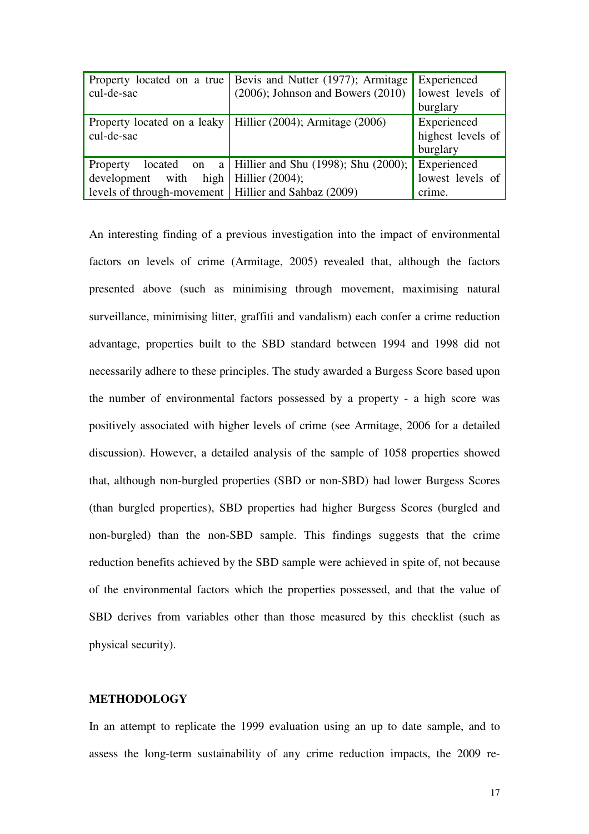| Property located on a true<br>cul-de-sac                                               | Bevis and Nutter (1977); Armitage<br>$(2006)$ ; Johnson and Bowers $(2010)$         | Experienced<br>lowest levels of              |
|----------------------------------------------------------------------------------------|-------------------------------------------------------------------------------------|----------------------------------------------|
|                                                                                        |                                                                                     | burglary                                     |
| cul-de-sac                                                                             | Property located on a leaky   Hillier $(2004)$ ; Armitage $(2006)$                  | Experienced<br>highest levels of<br>burglary |
| Property<br>development with<br>levels of through-movement   Hillier and Sahbaz (2009) | located on a Hillier and Shu $(1998)$ ; Shu $(2000)$ ;<br>high   Hillier $(2004)$ ; | Experienced<br>lowest levels of<br>crime.    |

An interesting finding of a previous investigation into the impact of environmental factors on levels of crime (Armitage, 2005) revealed that, although the factors presented above (such as minimising through movement, maximising natural surveillance, minimising litter, graffiti and vandalism) each confer a crime reduction advantage, properties built to the SBD standard between 1994 and 1998 did not necessarily adhere to these principles. The study awarded a Burgess Score based upon the number of environmental factors possessed by a property - a high score was positively associated with higher levels of crime (see Armitage, 2006 for a detailed discussion). However, a detailed analysis of the sample of 1058 properties showed that, although non-burgled properties (SBD or non-SBD) had lower Burgess Scores (than burgled properties), SBD properties had higher Burgess Scores (burgled and non-burgled) than the non-SBD sample. This findings suggests that the crime reduction benefits achieved by the SBD sample were achieved in spite of, not because of the environmental factors which the properties possessed, and that the value of SBD derives from variables other than those measured by this checklist (such as physical security).

#### **METHODOLOGY**

In an attempt to replicate the 1999 evaluation using an up to date sample, and to assess the long-term sustainability of any crime reduction impacts, the 2009 re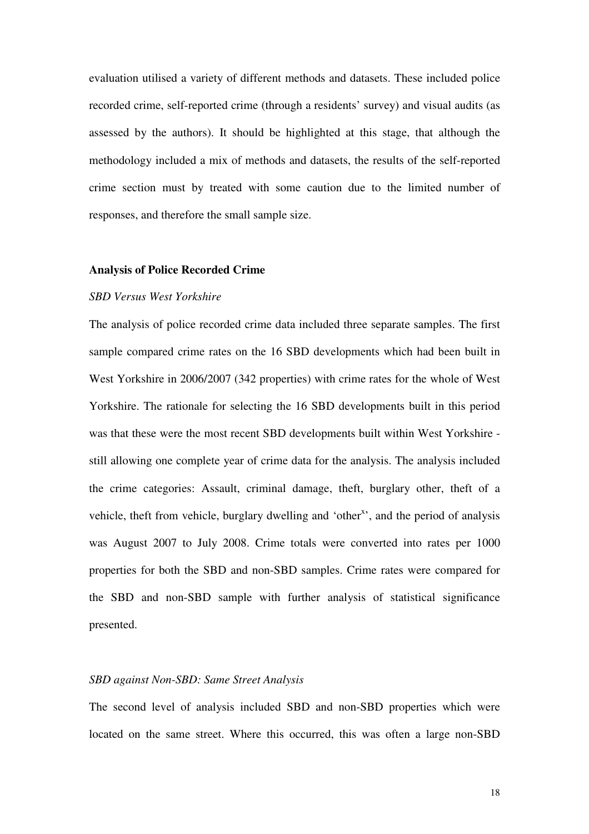evaluation utilised a variety of different methods and datasets. These included police recorded crime, self-reported crime (through a residents' survey) and visual audits (as assessed by the authors). It should be highlighted at this stage, that although the methodology included a mix of methods and datasets, the results of the self-reported crime section must by treated with some caution due to the limited number of responses, and therefore the small sample size.

#### **Analysis of Police Recorded Crime**

#### *SBD Versus West Yorkshire*

The analysis of police recorded crime data included three separate samples. The first sample compared crime rates on the 16 SBD developments which had been built in West Yorkshire in 2006/2007 (342 properties) with crime rates for the whole of West Yorkshire. The rationale for selecting the 16 SBD developments built in this period was that these were the most recent SBD developments built within West Yorkshire still allowing one complete year of crime data for the analysis. The analysis included the crime categories: Assault, criminal damage, theft, burglary other, theft of a vehicle, theft from vehicle, burglary dwelling and 'other<sup>x</sup>', and the period of analysis was August 2007 to July 2008. Crime totals were converted into rates per 1000 properties for both the SBD and non-SBD samples. Crime rates were compared for the SBD and non-SBD sample with further analysis of statistical significance presented.

#### *SBD against Non-SBD: Same Street Analysis*

The second level of analysis included SBD and non-SBD properties which were located on the same street. Where this occurred, this was often a large non-SBD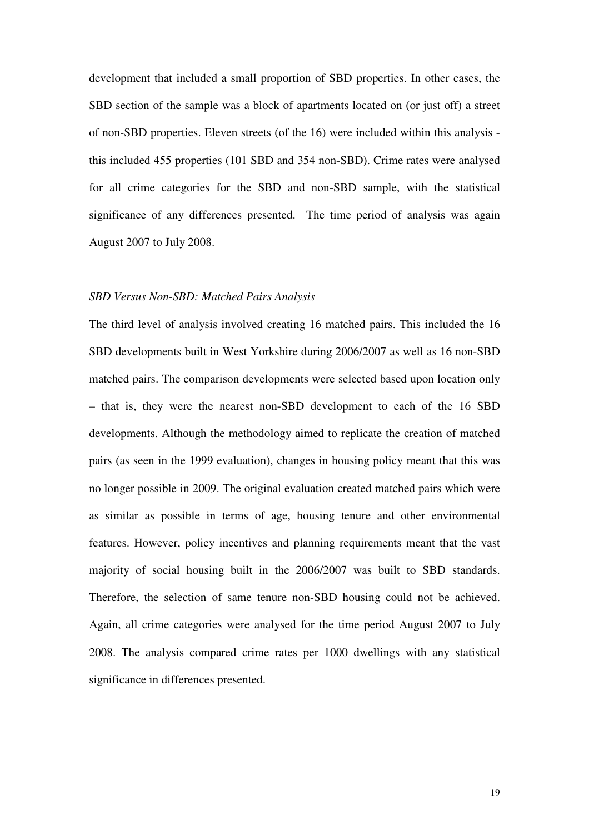development that included a small proportion of SBD properties. In other cases, the SBD section of the sample was a block of apartments located on (or just off) a street of non-SBD properties. Eleven streets (of the 16) were included within this analysis this included 455 properties (101 SBD and 354 non-SBD). Crime rates were analysed for all crime categories for the SBD and non-SBD sample, with the statistical significance of any differences presented. The time period of analysis was again August 2007 to July 2008.

#### *SBD Versus Non-SBD: Matched Pairs Analysis*

The third level of analysis involved creating 16 matched pairs. This included the 16 SBD developments built in West Yorkshire during 2006/2007 as well as 16 non-SBD matched pairs. The comparison developments were selected based upon location only – that is, they were the nearest non-SBD development to each of the 16 SBD developments. Although the methodology aimed to replicate the creation of matched pairs (as seen in the 1999 evaluation), changes in housing policy meant that this was no longer possible in 2009. The original evaluation created matched pairs which were as similar as possible in terms of age, housing tenure and other environmental features. However, policy incentives and planning requirements meant that the vast majority of social housing built in the 2006/2007 was built to SBD standards. Therefore, the selection of same tenure non-SBD housing could not be achieved. Again, all crime categories were analysed for the time period August 2007 to July 2008. The analysis compared crime rates per 1000 dwellings with any statistical significance in differences presented.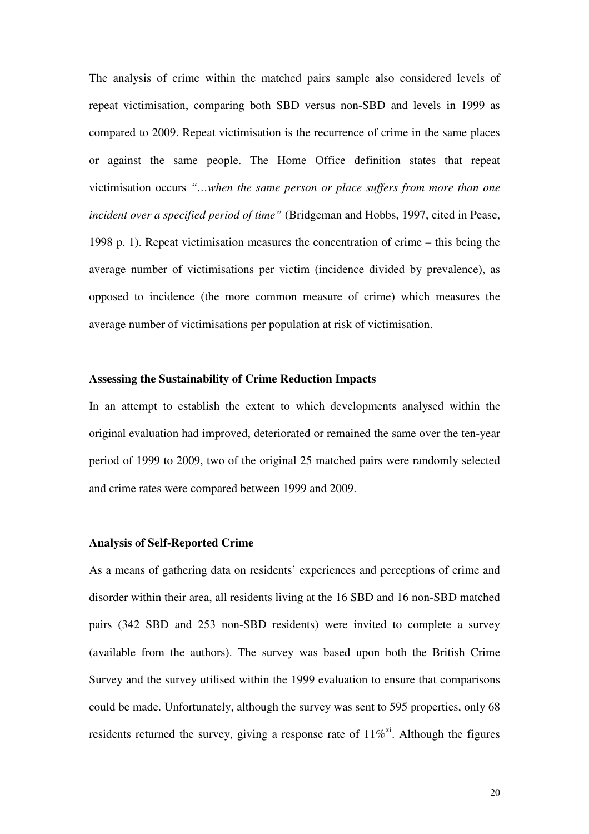The analysis of crime within the matched pairs sample also considered levels of repeat victimisation, comparing both SBD versus non-SBD and levels in 1999 as compared to 2009. Repeat victimisation is the recurrence of crime in the same places or against the same people. The Home Office definition states that repeat victimisation occurs *"…when the same person or place suffers from more than one incident over a specified period of time"* (Bridgeman and Hobbs, 1997, cited in Pease, 1998 p. 1). Repeat victimisation measures the concentration of crime – this being the average number of victimisations per victim (incidence divided by prevalence), as opposed to incidence (the more common measure of crime) which measures the average number of victimisations per population at risk of victimisation.

#### **Assessing the Sustainability of Crime Reduction Impacts**

In an attempt to establish the extent to which developments analysed within the original evaluation had improved, deteriorated or remained the same over the ten-year period of 1999 to 2009, two of the original 25 matched pairs were randomly selected and crime rates were compared between 1999 and 2009.

#### **Analysis of Self-Reported Crime**

As a means of gathering data on residents' experiences and perceptions of crime and disorder within their area, all residents living at the 16 SBD and 16 non-SBD matched pairs (342 SBD and 253 non-SBD residents) were invited to complete a survey (available from the authors). The survey was based upon both the British Crime Survey and the survey utilised within the 1999 evaluation to ensure that comparisons could be made. Unfortunately, although the survey was sent to 595 properties, only 68 residents returned the survey, giving a response rate of  $11\%$ <sup>xi</sup>. Although the figures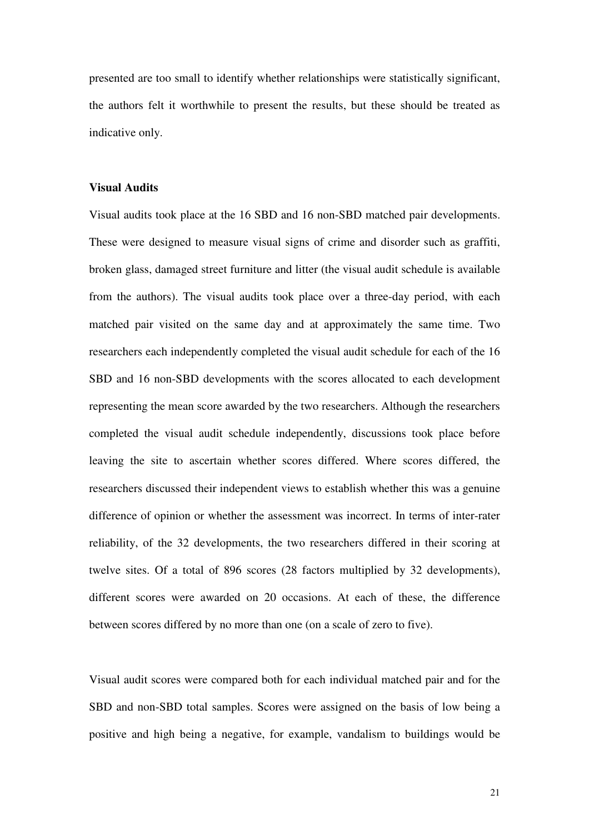presented are too small to identify whether relationships were statistically significant, the authors felt it worthwhile to present the results, but these should be treated as indicative only.

#### **Visual Audits**

Visual audits took place at the 16 SBD and 16 non-SBD matched pair developments. These were designed to measure visual signs of crime and disorder such as graffiti, broken glass, damaged street furniture and litter (the visual audit schedule is available from the authors). The visual audits took place over a three-day period, with each matched pair visited on the same day and at approximately the same time. Two researchers each independently completed the visual audit schedule for each of the 16 SBD and 16 non-SBD developments with the scores allocated to each development representing the mean score awarded by the two researchers. Although the researchers completed the visual audit schedule independently, discussions took place before leaving the site to ascertain whether scores differed. Where scores differed, the researchers discussed their independent views to establish whether this was a genuine difference of opinion or whether the assessment was incorrect. In terms of inter-rater reliability, of the 32 developments, the two researchers differed in their scoring at twelve sites. Of a total of 896 scores (28 factors multiplied by 32 developments), different scores were awarded on 20 occasions. At each of these, the difference between scores differed by no more than one (on a scale of zero to five).

Visual audit scores were compared both for each individual matched pair and for the SBD and non-SBD total samples. Scores were assigned on the basis of low being a positive and high being a negative, for example, vandalism to buildings would be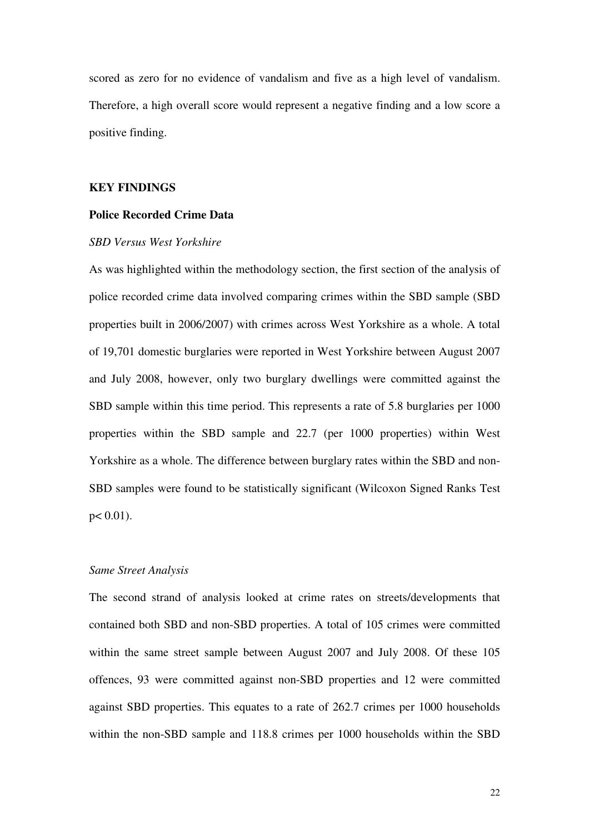scored as zero for no evidence of vandalism and five as a high level of vandalism. Therefore, a high overall score would represent a negative finding and a low score a positive finding.

#### **KEY FINDINGS**

#### **Police Recorded Crime Data**

#### *SBD Versus West Yorkshire*

As was highlighted within the methodology section, the first section of the analysis of police recorded crime data involved comparing crimes within the SBD sample (SBD properties built in 2006/2007) with crimes across West Yorkshire as a whole. A total of 19,701 domestic burglaries were reported in West Yorkshire between August 2007 and July 2008, however, only two burglary dwellings were committed against the SBD sample within this time period. This represents a rate of 5.8 burglaries per 1000 properties within the SBD sample and 22.7 (per 1000 properties) within West Yorkshire as a whole. The difference between burglary rates within the SBD and non-SBD samples were found to be statistically significant (Wilcoxon Signed Ranks Test  $p < 0.01$ ).

#### *Same Street Analysis*

The second strand of analysis looked at crime rates on streets/developments that contained both SBD and non-SBD properties. A total of 105 crimes were committed within the same street sample between August 2007 and July 2008. Of these 105 offences, 93 were committed against non-SBD properties and 12 were committed against SBD properties. This equates to a rate of 262.7 crimes per 1000 households within the non-SBD sample and 118.8 crimes per 1000 households within the SBD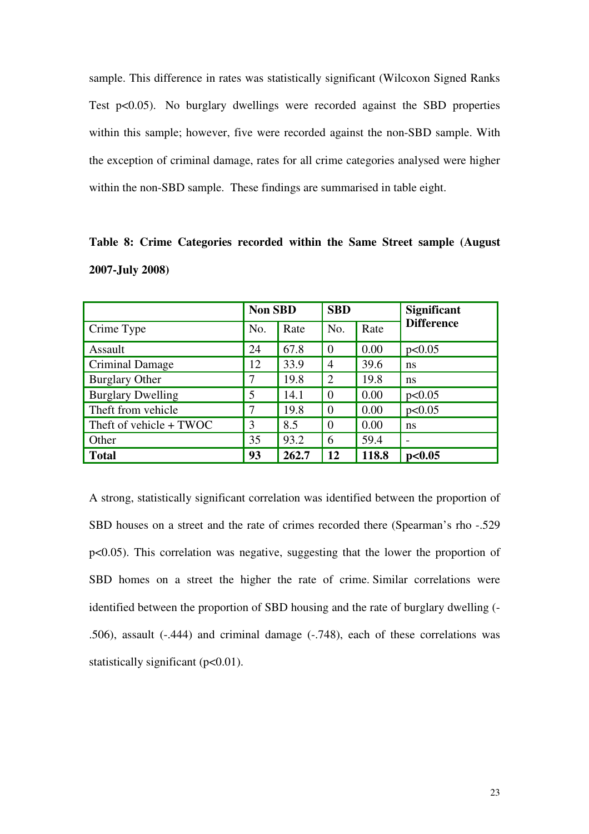sample. This difference in rates was statistically significant (Wilcoxon Signed Ranks Test p<0.05). No burglary dwellings were recorded against the SBD properties within this sample; however, five were recorded against the non-SBD sample. With the exception of criminal damage, rates for all crime categories analysed were higher within the non-SBD sample. These findings are summarised in table eight.

|  |                 | Table 8: Crime Categories recorded within the Same Street sample (August |  |  |  |  |
|--|-----------------|--------------------------------------------------------------------------|--|--|--|--|
|  | 2007-July 2008) |                                                                          |  |  |  |  |

|                          | <b>Non SBD</b> |       | <b>SBD</b>     |       | <b>Significant</b>       |  |
|--------------------------|----------------|-------|----------------|-------|--------------------------|--|
| Crime Type               | No.            | Rate  | No.            | Rate  | <b>Difference</b>        |  |
| Assault                  | 24             | 67.8  | $\theta$       | 0.00  | p<0.05                   |  |
| <b>Criminal Damage</b>   | 12             | 33.9  | $\overline{4}$ | 39.6  | ns                       |  |
| <b>Burglary Other</b>    | 7              | 19.8  | $\overline{2}$ | 19.8  | ns                       |  |
| <b>Burglary Dwelling</b> | 5              | 14.1  | $\theta$       | 0.00  | p<0.05                   |  |
| Theft from vehicle       | 7              | 19.8  | $\theta$       | 0.00  | p<0.05                   |  |
| Theft of vehicle + TWOC  | 3              | 8.5   | $\overline{0}$ | 0.00  | ns                       |  |
| Other                    | 35             | 93.2  | 6              | 59.4  | $\overline{\phantom{a}}$ |  |
| <b>Total</b>             | 93             | 262.7 | 12             | 118.8 | p<0.05                   |  |

A strong, statistically significant correlation was identified between the proportion of SBD houses on a street and the rate of crimes recorded there (Spearman's rho -.529 p<0.05). This correlation was negative, suggesting that the lower the proportion of SBD homes on a street the higher the rate of crime. Similar correlations were identified between the proportion of SBD housing and the rate of burglary dwelling (- .506), assault (-.444) and criminal damage (-.748), each of these correlations was statistically significant  $(p<0.01)$ .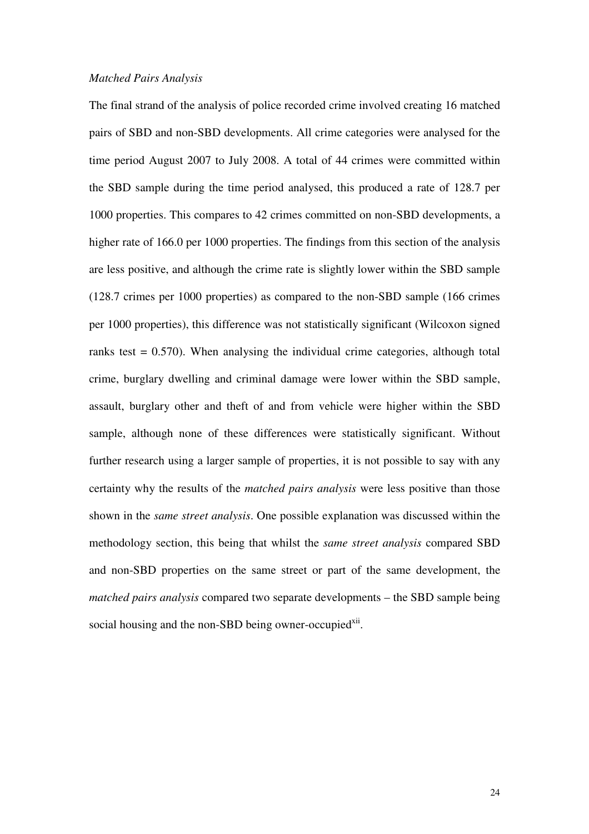#### *Matched Pairs Analysis*

The final strand of the analysis of police recorded crime involved creating 16 matched pairs of SBD and non-SBD developments. All crime categories were analysed for the time period August 2007 to July 2008. A total of 44 crimes were committed within the SBD sample during the time period analysed, this produced a rate of 128.7 per 1000 properties. This compares to 42 crimes committed on non-SBD developments, a higher rate of 166.0 per 1000 properties. The findings from this section of the analysis are less positive, and although the crime rate is slightly lower within the SBD sample (128.7 crimes per 1000 properties) as compared to the non-SBD sample (166 crimes per 1000 properties), this difference was not statistically significant (Wilcoxon signed ranks test  $= 0.570$ ). When analysing the individual crime categories, although total crime, burglary dwelling and criminal damage were lower within the SBD sample, assault, burglary other and theft of and from vehicle were higher within the SBD sample, although none of these differences were statistically significant. Without further research using a larger sample of properties, it is not possible to say with any certainty why the results of the *matched pairs analysis* were less positive than those shown in the *same street analysis*. One possible explanation was discussed within the methodology section, this being that whilst the *same street analysis* compared SBD and non-SBD properties on the same street or part of the same development, the *matched pairs analysis* compared two separate developments – the SBD sample being social housing and the non-SBD being owner-occupied<sup>xii</sup>.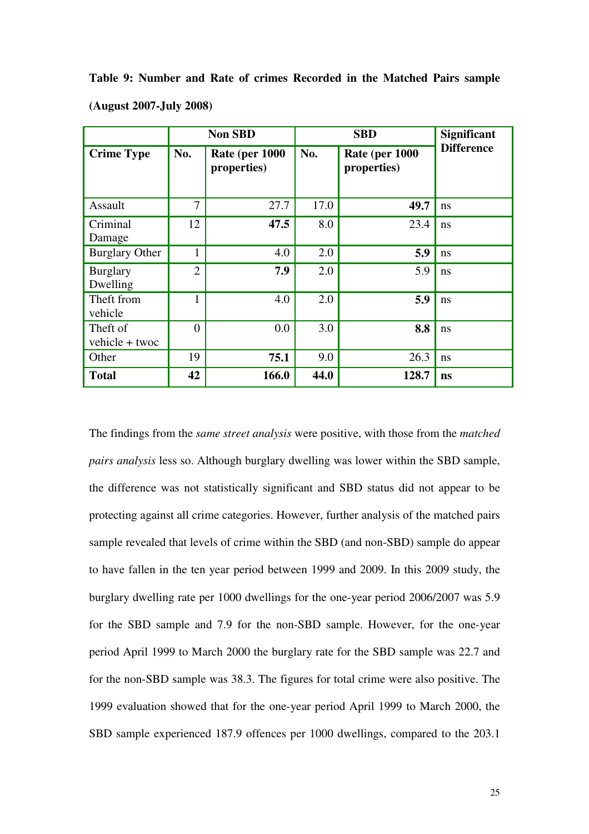|                             |                | <b>Non SBD</b>                |      | <b>SBD</b>                    | <b>Significant</b> |
|-----------------------------|----------------|-------------------------------|------|-------------------------------|--------------------|
| <b>Crime Type</b>           | No.            | Rate (per 1000<br>properties) | No.  | Rate (per 1000<br>properties) | <b>Difference</b>  |
| Assault                     | 7              | 27.7                          | 17.0 | 49.7                          | ns                 |
| Criminal<br>Damage          | 12             | 47.5                          | 8.0  | 23.4                          | ns                 |
| <b>Burglary Other</b>       | 1              | 4.0                           | 2.0  | 5.9                           | ns                 |
| <b>Burglary</b><br>Dwelling | $\overline{2}$ | 7.9                           | 2.0  | 5.9                           | ns                 |
| Theft from<br>vehicle       | $\mathbf{1}$   | 4.0                           | 2.0  | 5.9                           | ns                 |
| Theft of<br>vehicle + twoc  | $\Omega$       | 0.0                           | 3.0  | 8.8                           | ns                 |
| Other                       | 19             | 75.1                          | 9.0  | 26.3                          | ns                 |
| <b>Total</b>                | 42             | 166.0                         | 44.0 | 128.7                         | ns                 |

**Table 9: Number and Rate of crimes Recorded in the Matched Pairs sample (August 2007-July 2008)** 

The findings from the *same street analysis* were positive, with those from the *matched pairs analysis* less so. Although burglary dwelling was lower within the SBD sample, the difference was not statistically significant and SBD status did not appear to be protecting against all crime categories. However, further analysis of the matched pairs sample revealed that levels of crime within the SBD (and non-SBD) sample do appear to have fallen in the ten year period between 1999 and 2009. In this 2009 study, the burglary dwelling rate per 1000 dwellings for the one-year period 2006/2007 was 5.9 for the SBD sample and 7.9 for the non-SBD sample. However, for the one-year period April 1999 to March 2000 the burglary rate for the SBD sample was 22.7 and for the non-SBD sample was 38.3. The figures for total crime were also positive. The 1999 evaluation showed that for the one-year period April 1999 to March 2000, the SBD sample experienced 187.9 offences per 1000 dwellings, compared to the 203.1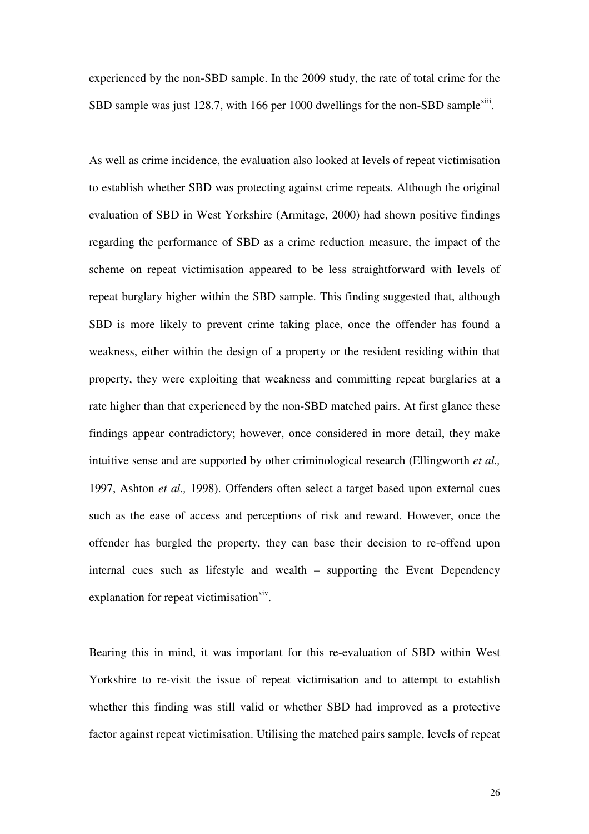experienced by the non-SBD sample. In the 2009 study, the rate of total crime for the SBD sample was just 128.7, with 166 per 1000 dwellings for the non-SBD sample<sup>xiii</sup>.

As well as crime incidence, the evaluation also looked at levels of repeat victimisation to establish whether SBD was protecting against crime repeats. Although the original evaluation of SBD in West Yorkshire (Armitage, 2000) had shown positive findings regarding the performance of SBD as a crime reduction measure, the impact of the scheme on repeat victimisation appeared to be less straightforward with levels of repeat burglary higher within the SBD sample. This finding suggested that, although SBD is more likely to prevent crime taking place, once the offender has found a weakness, either within the design of a property or the resident residing within that property, they were exploiting that weakness and committing repeat burglaries at a rate higher than that experienced by the non-SBD matched pairs. At first glance these findings appear contradictory; however, once considered in more detail, they make intuitive sense and are supported by other criminological research (Ellingworth *et al.,*  1997, Ashton *et al.,* 1998). Offenders often select a target based upon external cues such as the ease of access and perceptions of risk and reward. However, once the offender has burgled the property, they can base their decision to re-offend upon internal cues such as lifestyle and wealth – supporting the Event Dependency explanation for repeat victimisation<sup>xiv</sup>.

Bearing this in mind, it was important for this re-evaluation of SBD within West Yorkshire to re-visit the issue of repeat victimisation and to attempt to establish whether this finding was still valid or whether SBD had improved as a protective factor against repeat victimisation. Utilising the matched pairs sample, levels of repeat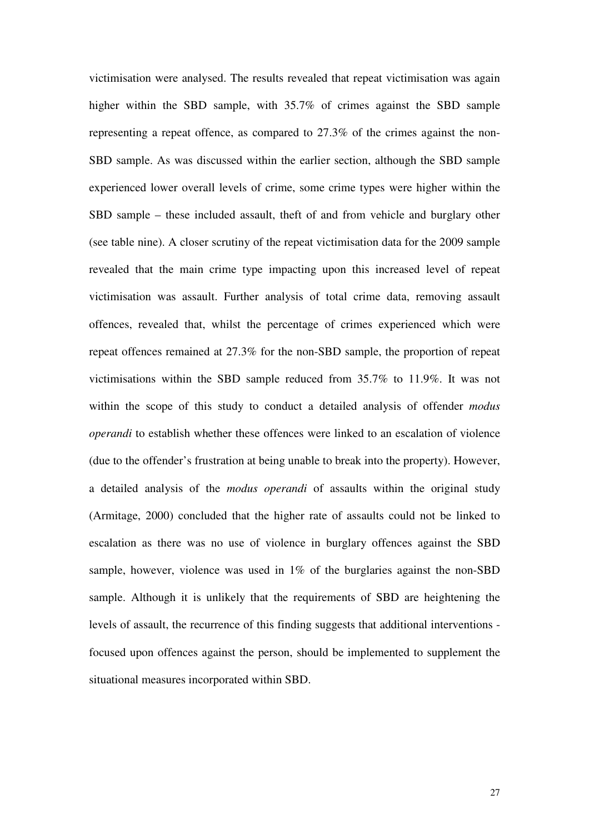victimisation were analysed. The results revealed that repeat victimisation was again higher within the SBD sample, with 35.7% of crimes against the SBD sample representing a repeat offence, as compared to 27.3% of the crimes against the non-SBD sample. As was discussed within the earlier section, although the SBD sample experienced lower overall levels of crime, some crime types were higher within the SBD sample – these included assault, theft of and from vehicle and burglary other (see table nine). A closer scrutiny of the repeat victimisation data for the 2009 sample revealed that the main crime type impacting upon this increased level of repeat victimisation was assault. Further analysis of total crime data, removing assault offences, revealed that, whilst the percentage of crimes experienced which were repeat offences remained at 27.3% for the non-SBD sample, the proportion of repeat victimisations within the SBD sample reduced from 35.7% to 11.9%. It was not within the scope of this study to conduct a detailed analysis of offender *modus operandi* to establish whether these offences were linked to an escalation of violence (due to the offender's frustration at being unable to break into the property). However, a detailed analysis of the *modus operandi* of assaults within the original study (Armitage, 2000) concluded that the higher rate of assaults could not be linked to escalation as there was no use of violence in burglary offences against the SBD sample, however, violence was used in 1% of the burglaries against the non-SBD sample. Although it is unlikely that the requirements of SBD are heightening the levels of assault, the recurrence of this finding suggests that additional interventions focused upon offences against the person, should be implemented to supplement the situational measures incorporated within SBD.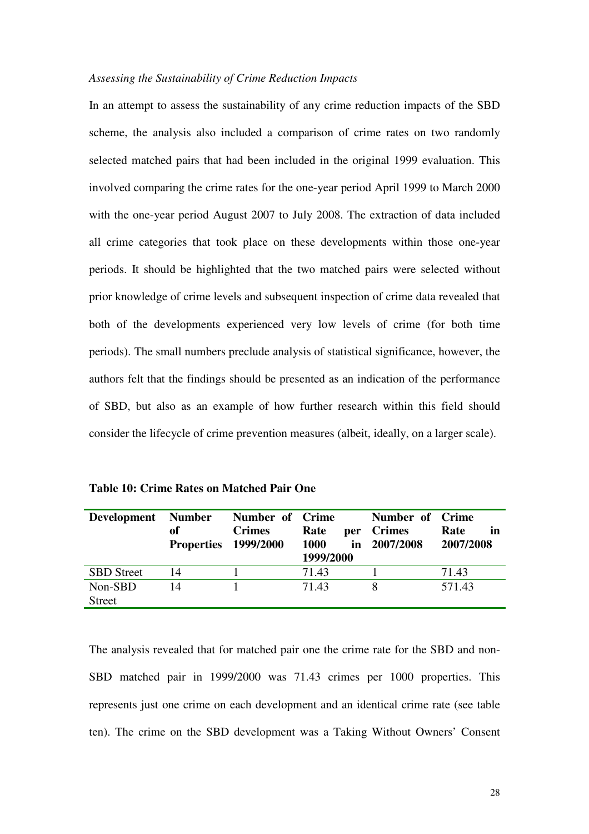#### *Assessing the Sustainability of Crime Reduction Impacts*

In an attempt to assess the sustainability of any crime reduction impacts of the SBD scheme, the analysis also included a comparison of crime rates on two randomly selected matched pairs that had been included in the original 1999 evaluation. This involved comparing the crime rates for the one-year period April 1999 to March 2000 with the one-year period August 2007 to July 2008. The extraction of data included all crime categories that took place on these developments within those one-year periods. It should be highlighted that the two matched pairs were selected without prior knowledge of crime levels and subsequent inspection of crime data revealed that both of the developments experienced very low levels of crime (for both time periods). The small numbers preclude analysis of statistical significance, however, the authors felt that the findings should be presented as an indication of the performance of SBD, but also as an example of how further research within this field should consider the lifecycle of crime prevention measures (albeit, ideally, on a larger scale).

| <b>Development</b>       | Number<br>оf<br><b>Properties</b> | Number of Crime<br><b>Crimes</b><br>1999/2000 | Rate<br>per<br><b>1000</b><br>in<br>1999/2000 | Number of Crime<br><b>Crimes</b><br>2007/2008 | Rate<br>in<br>2007/2008 |
|--------------------------|-----------------------------------|-----------------------------------------------|-----------------------------------------------|-----------------------------------------------|-------------------------|
| <b>SBD</b> Street        | 14                                |                                               | 71.43                                         |                                               | 71.43                   |
| Non-SBD<br><b>Street</b> | 14                                |                                               | 71.43                                         | 8                                             | 571.43                  |

**Table 10: Crime Rates on Matched Pair One** 

The analysis revealed that for matched pair one the crime rate for the SBD and non-SBD matched pair in 1999/2000 was 71.43 crimes per 1000 properties. This represents just one crime on each development and an identical crime rate (see table ten). The crime on the SBD development was a Taking Without Owners' Consent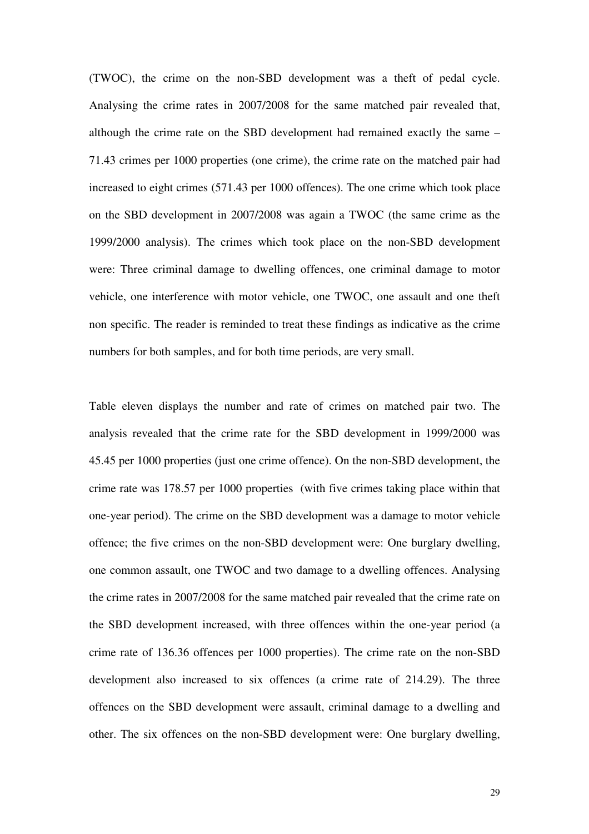(TWOC), the crime on the non-SBD development was a theft of pedal cycle. Analysing the crime rates in 2007/2008 for the same matched pair revealed that, although the crime rate on the SBD development had remained exactly the same – 71.43 crimes per 1000 properties (one crime), the crime rate on the matched pair had increased to eight crimes (571.43 per 1000 offences). The one crime which took place on the SBD development in 2007/2008 was again a TWOC (the same crime as the 1999/2000 analysis). The crimes which took place on the non-SBD development were: Three criminal damage to dwelling offences, one criminal damage to motor vehicle, one interference with motor vehicle, one TWOC, one assault and one theft non specific. The reader is reminded to treat these findings as indicative as the crime numbers for both samples, and for both time periods, are very small.

Table eleven displays the number and rate of crimes on matched pair two. The analysis revealed that the crime rate for the SBD development in 1999/2000 was 45.45 per 1000 properties (just one crime offence). On the non-SBD development, the crime rate was 178.57 per 1000 properties (with five crimes taking place within that one-year period). The crime on the SBD development was a damage to motor vehicle offence; the five crimes on the non-SBD development were: One burglary dwelling, one common assault, one TWOC and two damage to a dwelling offences. Analysing the crime rates in 2007/2008 for the same matched pair revealed that the crime rate on the SBD development increased, with three offences within the one-year period (a crime rate of 136.36 offences per 1000 properties). The crime rate on the non-SBD development also increased to six offences (a crime rate of 214.29). The three offences on the SBD development were assault, criminal damage to a dwelling and other. The six offences on the non-SBD development were: One burglary dwelling,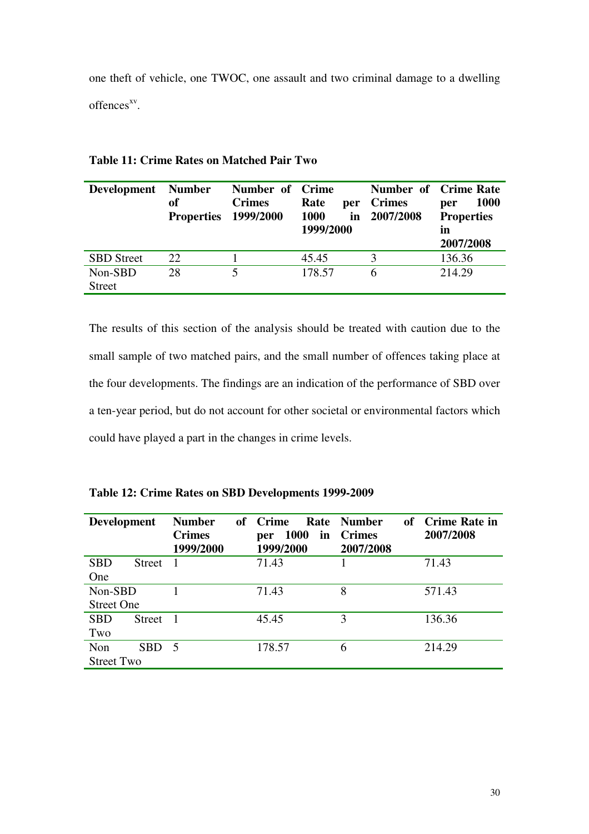one theft of vehicle, one TWOC, one assault and two criminal damage to a dwelling offences<sup>xv</sup>.

| <b>Development</b> | <b>Number</b><br>оf<br><b>Properties</b> | Number of Crime<br><b>Crimes</b><br>1999/2000 | Rate<br>per<br><b>1000</b><br>in<br>1999/2000 | <b>Crimes</b><br>2007/2008 | Number of Crime Rate<br><b>1000</b><br>per<br><b>Properties</b><br>in<br>2007/2008 |
|--------------------|------------------------------------------|-----------------------------------------------|-----------------------------------------------|----------------------------|------------------------------------------------------------------------------------|
| <b>SBD</b> Street  | 22                                       |                                               | 45.45                                         | 3                          | 136.36                                                                             |
| Non-SBD            | 28                                       | 5                                             | 178.57                                        | 6                          | 214.29                                                                             |
| <b>Street</b>      |                                          |                                               |                                               |                            |                                                                                    |

## **Table 11: Crime Rates on Matched Pair Two**

The results of this section of the analysis should be treated with caution due to the small sample of two matched pairs, and the small number of offences taking place at the four developments. The findings are an indication of the performance of SBD over a ten-year period, but do not account for other societal or environmental factors which could have played a part in the changes in crime levels.

**Table 12: Crime Rates on SBD Developments 1999-2009**

| <b>Development</b>          | <b>Number</b><br>of<br><b>Crimes</b><br>1999/2000 | <b>Crime</b><br>Rate<br><b>1000</b><br>in<br>per<br>1999/2000 | <b>Number</b><br>of<br><b>Crimes</b><br>2007/2008 | <b>Crime Rate in</b><br>2007/2008 |
|-----------------------------|---------------------------------------------------|---------------------------------------------------------------|---------------------------------------------------|-----------------------------------|
| <b>SBD</b><br><b>Street</b> | $\mathbf{1}$                                      | 71.43                                                         |                                                   | 71.43                             |
| One                         |                                                   |                                                               |                                                   |                                   |
| Non-SBD                     |                                                   | 71.43                                                         | 8                                                 | 571.43                            |
| <b>Street One</b>           |                                                   |                                                               |                                                   |                                   |
| <b>SBD</b><br><b>Street</b> | $\overline{1}$                                    | 45.45                                                         | 3                                                 | 136.36                            |
| Two                         |                                                   |                                                               |                                                   |                                   |
| Non<br><b>SBD</b>           | -5                                                | 178.57                                                        | 6                                                 | 214.29                            |
| <b>Street Two</b>           |                                                   |                                                               |                                                   |                                   |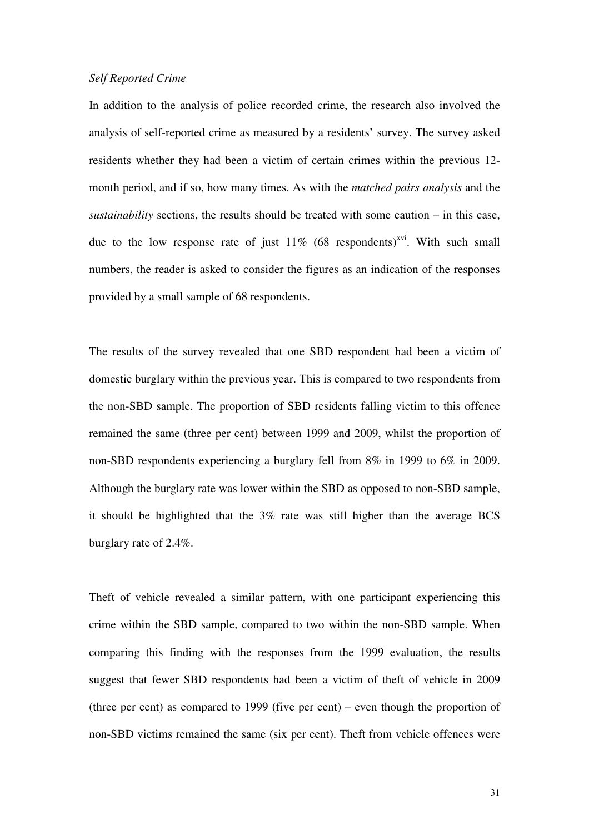#### *Self Reported Crime*

In addition to the analysis of police recorded crime, the research also involved the analysis of self-reported crime as measured by a residents' survey. The survey asked residents whether they had been a victim of certain crimes within the previous 12 month period, and if so, how many times. As with the *matched pairs analysis* and the *sustainability* sections, the results should be treated with some caution – in this case, due to the low response rate of just  $11\%$  (68 respondents)<sup>xvi</sup>. With such small numbers, the reader is asked to consider the figures as an indication of the responses provided by a small sample of 68 respondents.

The results of the survey revealed that one SBD respondent had been a victim of domestic burglary within the previous year. This is compared to two respondents from the non-SBD sample. The proportion of SBD residents falling victim to this offence remained the same (three per cent) between 1999 and 2009, whilst the proportion of non-SBD respondents experiencing a burglary fell from 8% in 1999 to 6% in 2009. Although the burglary rate was lower within the SBD as opposed to non-SBD sample, it should be highlighted that the 3% rate was still higher than the average BCS burglary rate of 2.4%.

Theft of vehicle revealed a similar pattern, with one participant experiencing this crime within the SBD sample, compared to two within the non-SBD sample. When comparing this finding with the responses from the 1999 evaluation, the results suggest that fewer SBD respondents had been a victim of theft of vehicle in 2009 (three per cent) as compared to 1999 (five per cent) – even though the proportion of non-SBD victims remained the same (six per cent). Theft from vehicle offences were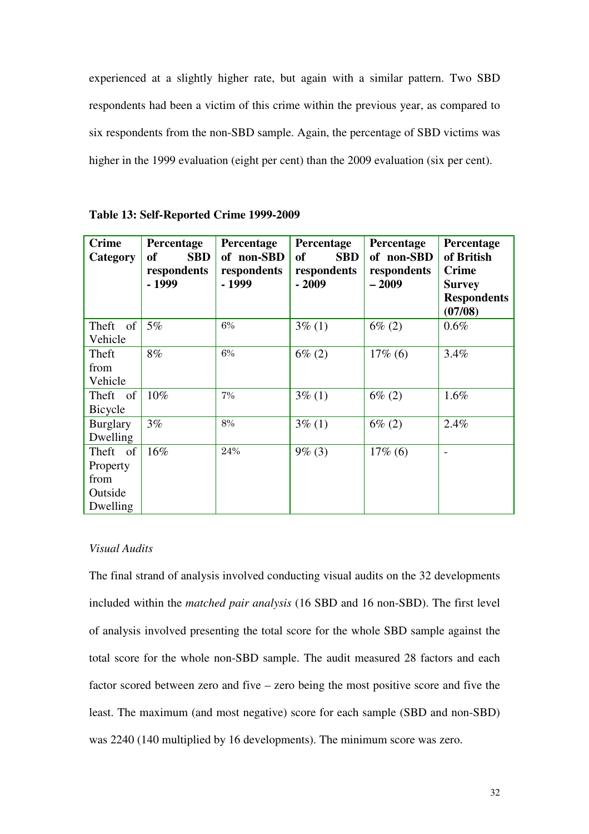experienced at a slightly higher rate, but again with a similar pattern. Two SBD respondents had been a victim of this crime within the previous year, as compared to six respondents from the non-SBD sample. Again, the percentage of SBD victims was higher in the 1999 evaluation (eight per cent) than the 2009 evaluation (six per cent).

| <b>Crime</b><br>Category                            | Percentage<br><b>of</b><br><b>SBD</b><br>respondents<br>- 1999 | Percentage<br>of non-SBD<br>respondents<br>- 1999 | Percentage<br><b>of</b><br><b>SBD</b><br>respondents<br>$-2009$ | Percentage<br>of non-SBD<br>respondents<br>$-2009$ | Percentage<br>of British<br><b>Crime</b><br><b>Survey</b><br><b>Respondents</b><br>(07/08) |
|-----------------------------------------------------|----------------------------------------------------------------|---------------------------------------------------|-----------------------------------------------------------------|----------------------------------------------------|--------------------------------------------------------------------------------------------|
| of<br>Theft<br>Vehicle                              | 5%                                                             | 6%                                                | $3\%$ (1)                                                       | $6\% (2)$                                          | 0.6%                                                                                       |
| Theft<br>from<br>Vehicle                            | 8%                                                             | 6%                                                | $6\% (2)$                                                       | $17\%$ (6)                                         | 3.4%                                                                                       |
| Theft of<br>Bicycle                                 | 10%                                                            | 7%                                                | $3\%$ (1)                                                       | $6\% (2)$                                          | 1.6%                                                                                       |
| <b>Burglary</b><br>Dwelling                         | 3%                                                             | 8%                                                | $3\%$ (1)                                                       | $6\% (2)$                                          | 2.4%                                                                                       |
| Theft of<br>Property<br>from<br>Outside<br>Dwelling | 16%                                                            | 24%                                               | $9\%$ (3)                                                       | $17\%$ (6)                                         |                                                                                            |

|  |  | Table 13: Self-Reported Crime 1999-2009 |
|--|--|-----------------------------------------|
|--|--|-----------------------------------------|

#### *Visual Audits*

The final strand of analysis involved conducting visual audits on the 32 developments included within the *matched pair analysis* (16 SBD and 16 non-SBD). The first level of analysis involved presenting the total score for the whole SBD sample against the total score for the whole non-SBD sample. The audit measured 28 factors and each factor scored between zero and five – zero being the most positive score and five the least. The maximum (and most negative) score for each sample (SBD and non-SBD) was 2240 (140 multiplied by 16 developments). The minimum score was zero.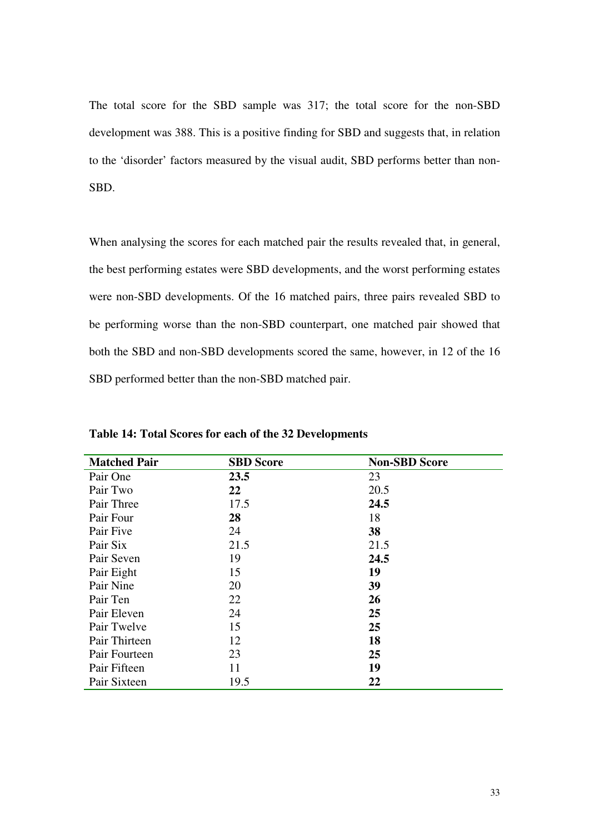The total score for the SBD sample was 317; the total score for the non-SBD development was 388. This is a positive finding for SBD and suggests that, in relation to the 'disorder' factors measured by the visual audit, SBD performs better than non-SBD.

When analysing the scores for each matched pair the results revealed that, in general, the best performing estates were SBD developments, and the worst performing estates were non-SBD developments. Of the 16 matched pairs, three pairs revealed SBD to be performing worse than the non-SBD counterpart, one matched pair showed that both the SBD and non-SBD developments scored the same, however, in 12 of the 16 SBD performed better than the non-SBD matched pair.

| <b>Matched Pair</b> | <b>SBD</b> Score | <b>Non-SBD Score</b> |
|---------------------|------------------|----------------------|
| Pair One            | 23.5             | 23                   |
| Pair Two            | 22               | 20.5                 |
| Pair Three          | 17.5             | 24.5                 |
| Pair Four           | 28               | 18                   |
| Pair Five           | 24               | 38                   |
| Pair Six            | 21.5             | 21.5                 |
| Pair Seven          | 19               | 24.5                 |
| Pair Eight          | 15               | 19                   |
| Pair Nine           | 20               | 39                   |
| Pair Ten            | 22               | 26                   |
| Pair Eleven         | 24               | 25                   |
| Pair Twelve         | 15               | 25                   |
| Pair Thirteen       | 12               | 18                   |
| Pair Fourteen       | 23               | 25                   |
| Pair Fifteen        | 11               | 19                   |
| Pair Sixteen        | 19.5             | 22                   |

**Table 14: Total Scores for each of the 32 Developments**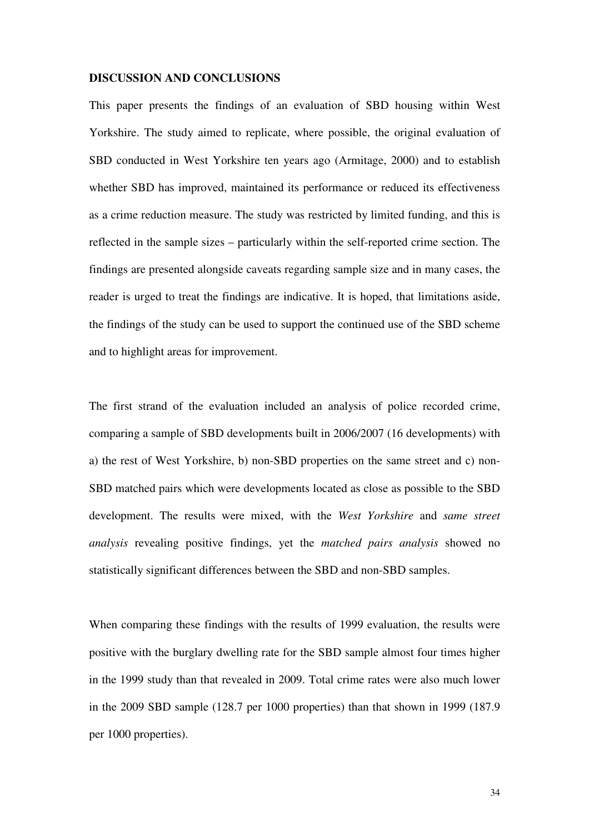#### **DISCUSSION AND CONCLUSIONS**

This paper presents the findings of an evaluation of SBD housing within West Yorkshire. The study aimed to replicate, where possible, the original evaluation of SBD conducted in West Yorkshire ten years ago (Armitage, 2000) and to establish whether SBD has improved, maintained its performance or reduced its effectiveness as a crime reduction measure. The study was restricted by limited funding, and this is reflected in the sample sizes – particularly within the self-reported crime section. The findings are presented alongside caveats regarding sample size and in many cases, the reader is urged to treat the findings are indicative. It is hoped, that limitations aside, the findings of the study can be used to support the continued use of the SBD scheme and to highlight areas for improvement.

The first strand of the evaluation included an analysis of police recorded crime, comparing a sample of SBD developments built in 2006/2007 (16 developments) with a) the rest of West Yorkshire, b) non-SBD properties on the same street and c) non-SBD matched pairs which were developments located as close as possible to the SBD development. The results were mixed, with the *West Yorkshire* and *same street analysis* revealing positive findings, yet the *matched pairs analysis* showed no statistically significant differences between the SBD and non-SBD samples.

When comparing these findings with the results of 1999 evaluation, the results were positive with the burglary dwelling rate for the SBD sample almost four times higher in the 1999 study than that revealed in 2009. Total crime rates were also much lower in the 2009 SBD sample (128.7 per 1000 properties) than that shown in 1999 (187.9 per 1000 properties).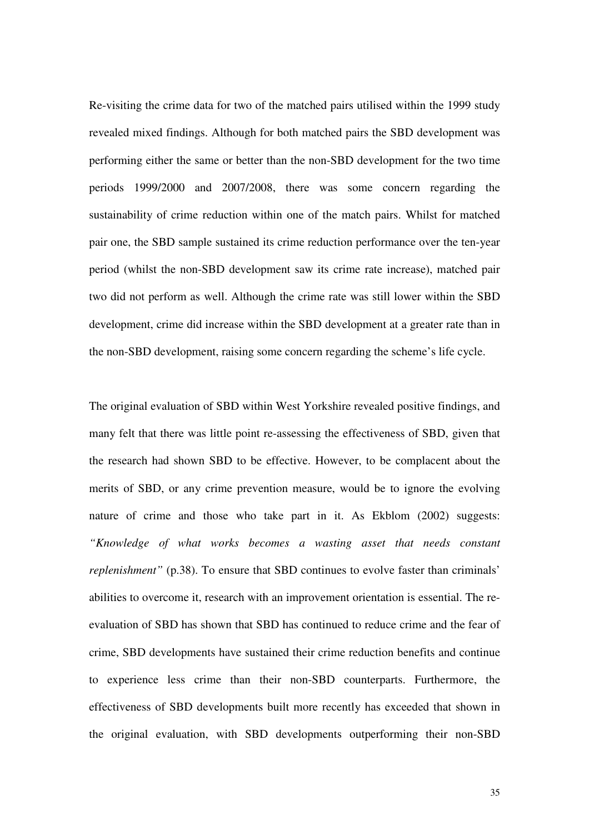Re-visiting the crime data for two of the matched pairs utilised within the 1999 study revealed mixed findings. Although for both matched pairs the SBD development was performing either the same or better than the non-SBD development for the two time periods 1999/2000 and 2007/2008, there was some concern regarding the sustainability of crime reduction within one of the match pairs. Whilst for matched pair one, the SBD sample sustained its crime reduction performance over the ten-year period (whilst the non-SBD development saw its crime rate increase), matched pair two did not perform as well. Although the crime rate was still lower within the SBD development, crime did increase within the SBD development at a greater rate than in the non-SBD development, raising some concern regarding the scheme's life cycle.

The original evaluation of SBD within West Yorkshire revealed positive findings, and many felt that there was little point re-assessing the effectiveness of SBD, given that the research had shown SBD to be effective. However, to be complacent about the merits of SBD, or any crime prevention measure, would be to ignore the evolving nature of crime and those who take part in it. As Ekblom (2002) suggests: *"Knowledge of what works becomes a wasting asset that needs constant replenishment"* (p.38). To ensure that SBD continues to evolve faster than criminals' abilities to overcome it, research with an improvement orientation is essential. The reevaluation of SBD has shown that SBD has continued to reduce crime and the fear of crime, SBD developments have sustained their crime reduction benefits and continue to experience less crime than their non-SBD counterparts. Furthermore, the effectiveness of SBD developments built more recently has exceeded that shown in the original evaluation, with SBD developments outperforming their non-SBD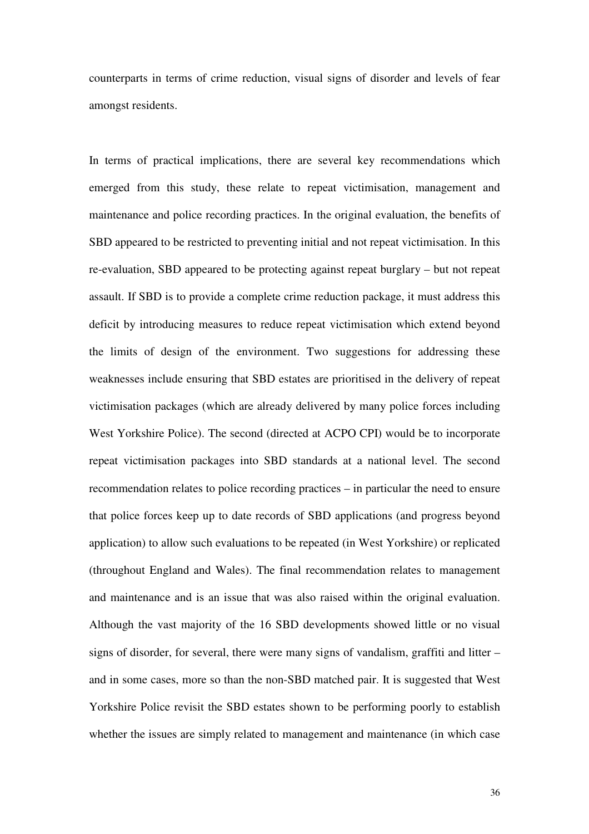counterparts in terms of crime reduction, visual signs of disorder and levels of fear amongst residents.

In terms of practical implications, there are several key recommendations which emerged from this study, these relate to repeat victimisation, management and maintenance and police recording practices. In the original evaluation, the benefits of SBD appeared to be restricted to preventing initial and not repeat victimisation. In this re-evaluation, SBD appeared to be protecting against repeat burglary – but not repeat assault. If SBD is to provide a complete crime reduction package, it must address this deficit by introducing measures to reduce repeat victimisation which extend beyond the limits of design of the environment. Two suggestions for addressing these weaknesses include ensuring that SBD estates are prioritised in the delivery of repeat victimisation packages (which are already delivered by many police forces including West Yorkshire Police). The second (directed at ACPO CPI) would be to incorporate repeat victimisation packages into SBD standards at a national level. The second recommendation relates to police recording practices – in particular the need to ensure that police forces keep up to date records of SBD applications (and progress beyond application) to allow such evaluations to be repeated (in West Yorkshire) or replicated (throughout England and Wales). The final recommendation relates to management and maintenance and is an issue that was also raised within the original evaluation. Although the vast majority of the 16 SBD developments showed little or no visual signs of disorder, for several, there were many signs of vandalism, graffiti and litter – and in some cases, more so than the non-SBD matched pair. It is suggested that West Yorkshire Police revisit the SBD estates shown to be performing poorly to establish whether the issues are simply related to management and maintenance (in which case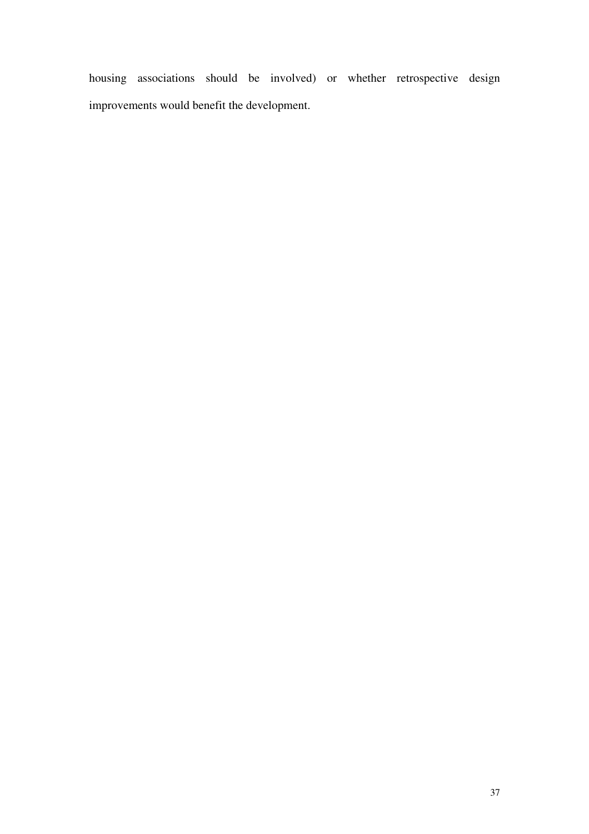housing associations should be involved) or whether retrospective design improvements would benefit the development.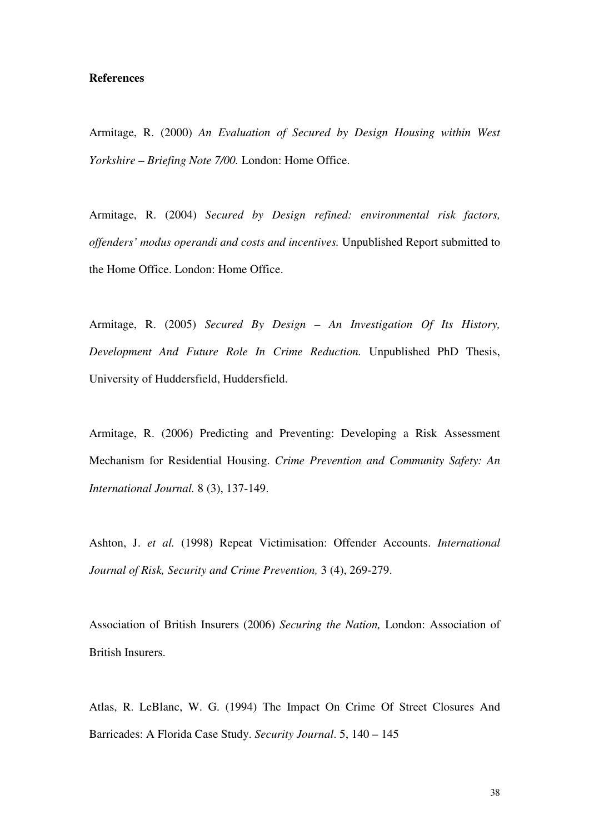#### **References**

Armitage, R. (2000) *An Evaluation of Secured by Design Housing within West Yorkshire – Briefing Note 7/00.* London: Home Office.

Armitage, R. (2004) *Secured by Design refined: environmental risk factors, offenders' modus operandi and costs and incentives.* Unpublished Report submitted to the Home Office. London: Home Office.

Armitage, R. (2005) *Secured By Design – An Investigation Of Its History, Development And Future Role In Crime Reduction.* Unpublished PhD Thesis, University of Huddersfield, Huddersfield.

Armitage, R. (2006) Predicting and Preventing: Developing a Risk Assessment Mechanism for Residential Housing. *Crime Prevention and Community Safety: An International Journal.* 8 (3), 137-149.

Ashton, J. *et al.* (1998) Repeat Victimisation: Offender Accounts. *International Journal of Risk, Security and Crime Prevention,* 3 (4), 269-279.

Association of British Insurers (2006) *Securing the Nation,* London: Association of British Insurers.

Atlas, R. LeBlanc, W. G. (1994) The Impact On Crime Of Street Closures And Barricades: A Florida Case Study. *Security Journal*. 5, 140 – 145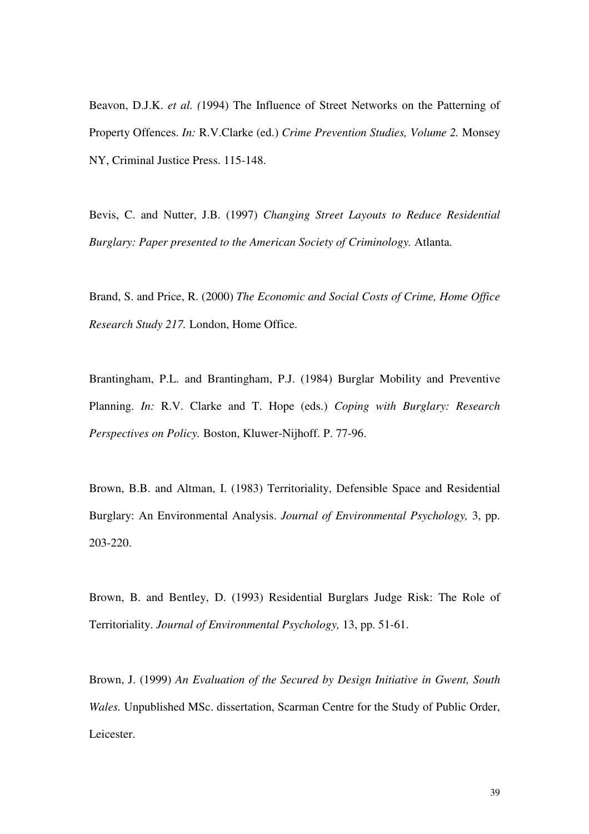Beavon, D.J.K. *et al. (*1994) The Influence of Street Networks on the Patterning of Property Offences. *In:* R.V.Clarke (ed.) *Crime Prevention Studies, Volume 2.* Monsey NY, Criminal Justice Press. 115-148.

Bevis, C. and Nutter, J.B. (1997) *Changing Street Layouts to Reduce Residential Burglary: Paper presented to the American Society of Criminology.* Atlanta.

Brand, S. and Price, R. (2000) *The Economic and Social Costs of Crime, Home Office Research Study 217.* London, Home Office.

Brantingham, P.L. and Brantingham, P.J. (1984) Burglar Mobility and Preventive Planning. *In:* R.V. Clarke and T. Hope (eds.) *Coping with Burglary: Research Perspectives on Policy.* Boston, Kluwer-Nijhoff. P. 77-96.

Brown, B.B. and Altman, I. (1983) Territoriality, Defensible Space and Residential Burglary: An Environmental Analysis. *Journal of Environmental Psychology,* 3, pp. 203-220.

Brown, B. and Bentley, D. (1993) Residential Burglars Judge Risk: The Role of Territoriality. *Journal of Environmental Psychology,* 13, pp. 51-61.

Brown, J. (1999) *An Evaluation of the Secured by Design Initiative in Gwent, South Wales.* Unpublished MSc. dissertation, Scarman Centre for the Study of Public Order, Leicester.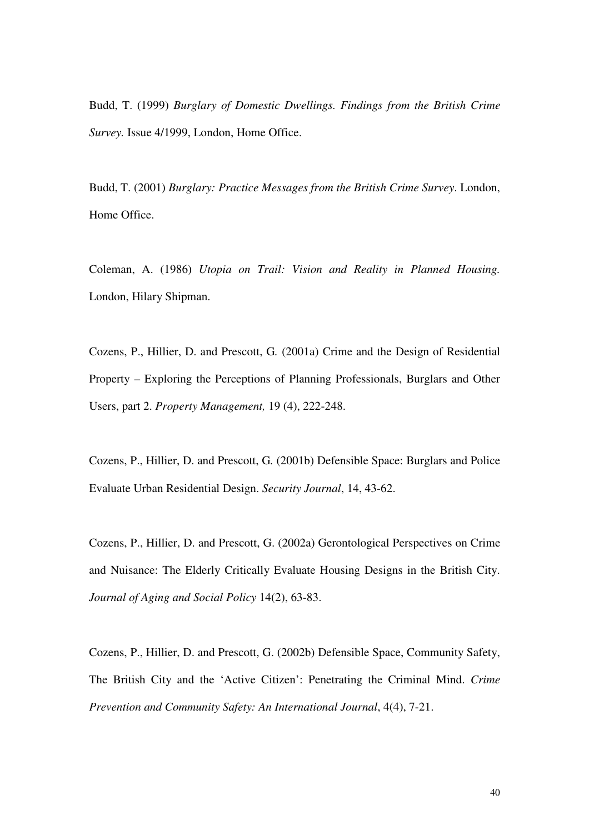Budd, T. (1999) *Burglary of Domestic Dwellings. Findings from the British Crime Survey.* Issue 4/1999, London, Home Office.

Budd, T. (2001) *Burglary: Practice Messages from the British Crime Survey*. London, Home Office.

Coleman, A. (1986) *Utopia on Trail: Vision and Reality in Planned Housing.*  London, Hilary Shipman.

Cozens, P., Hillier, D. and Prescott, G*.* (2001a) Crime and the Design of Residential Property – Exploring the Perceptions of Planning Professionals, Burglars and Other Users, part 2. *Property Management,* 19 (4), 222-248.

Cozens, P., Hillier, D. and Prescott, G*.* (2001b) Defensible Space: Burglars and Police Evaluate Urban Residential Design. *Security Journal*, 14, 43-62.

Cozens, P., Hillier, D. and Prescott, G. (2002a) Gerontological Perspectives on Crime and Nuisance: The Elderly Critically Evaluate Housing Designs in the British City. *Journal of Aging and Social Policy* 14(2), 63-83.

Cozens, P., Hillier, D. and Prescott, G. (2002b) Defensible Space, Community Safety, The British City and the 'Active Citizen': Penetrating the Criminal Mind. *Crime Prevention and Community Safety: An International Journal*, 4(4), 7-21.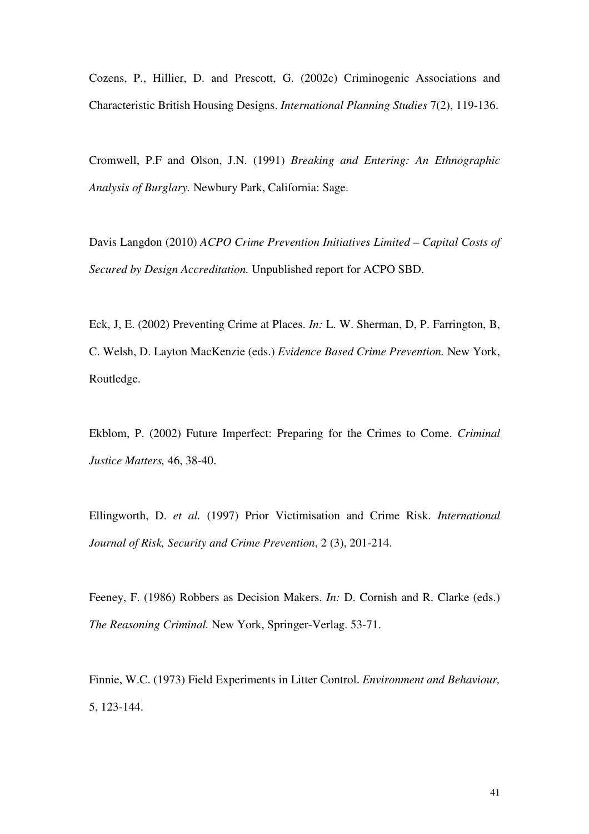Cozens, P., Hillier, D. and Prescott, G. (2002c) Criminogenic Associations and Characteristic British Housing Designs. *International Planning Studies* 7(2), 119-136.

Cromwell, P.F and Olson, J.N. (1991) *Breaking and Entering: An Ethnographic Analysis of Burglary.* Newbury Park, California: Sage.

Davis Langdon (2010) *ACPO Crime Prevention Initiatives Limited – Capital Costs of Secured by Design Accreditation.* Unpublished report for ACPO SBD.

Eck, J, E. (2002) Preventing Crime at Places. *In:* L. W. Sherman, D, P. Farrington, B, C. Welsh, D. Layton MacKenzie (eds.) *Evidence Based Crime Prevention.* New York, Routledge.

Ekblom, P. (2002) Future Imperfect: Preparing for the Crimes to Come. *Criminal Justice Matters,* 46, 38-40.

Ellingworth, D. *et al.* (1997) Prior Victimisation and Crime Risk. *International Journal of Risk, Security and Crime Prevention*, 2 (3), 201-214.

Feeney, F. (1986) Robbers as Decision Makers. *In:* D. Cornish and R. Clarke (eds.) *The Reasoning Criminal.* New York, Springer-Verlag. 53-71.

Finnie, W.C. (1973) Field Experiments in Litter Control. *Environment and Behaviour,*  5, 123-144.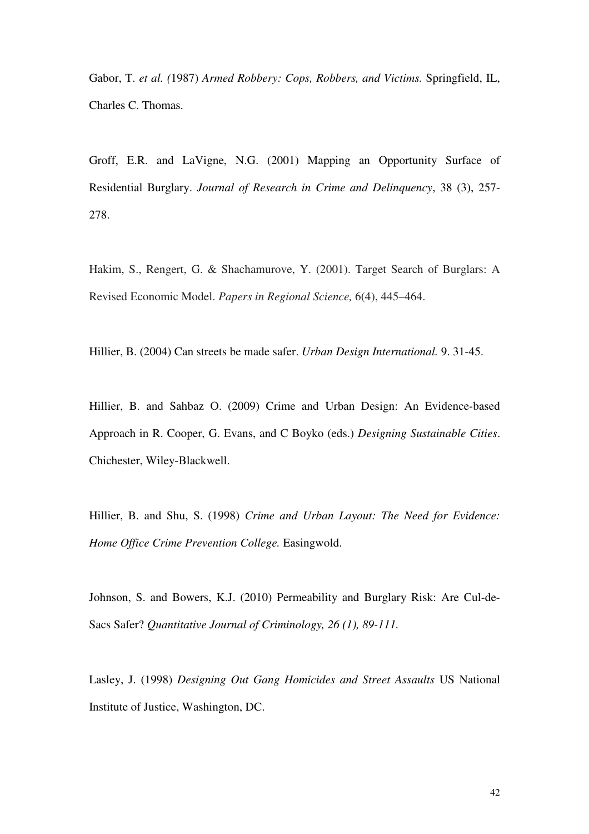Gabor, T. *et al. (*1987) *Armed Robbery: Cops, Robbers, and Victims.* Springfield, IL, Charles C. Thomas.

Groff, E.R. and LaVigne, N.G. (2001) Mapping an Opportunity Surface of Residential Burglary. *Journal of Research in Crime and Delinquency*, 38 (3), 257- 278.

Hakim, S., Rengert, G. & Shachamurove, Y. (2001). Target Search of Burglars: A Revised Economic Model. *Papers in Regional Science,* 6(4), 445–464.

Hillier, B. (2004) Can streets be made safer. *Urban Design International.* 9. 31-45.

Hillier, B. and Sahbaz O. (2009) Crime and Urban Design: An Evidence-based Approach in R. Cooper, G. Evans, and C Boyko (eds.) *Designing Sustainable Cities*. Chichester, Wiley-Blackwell.

Hillier, B. and Shu, S. (1998) *Crime and Urban Layout: The Need for Evidence: Home Office Crime Prevention College.* Easingwold.

Johnson, S. and Bowers, K.J. (2010) Permeability and Burglary Risk: Are Cul-de-Sacs Safer? *Quantitative Journal of Criminology, 26 (1), 89-111.* 

Lasley, J. (1998) *Designing Out Gang Homicides and Street Assaults* US National Institute of Justice, Washington, DC.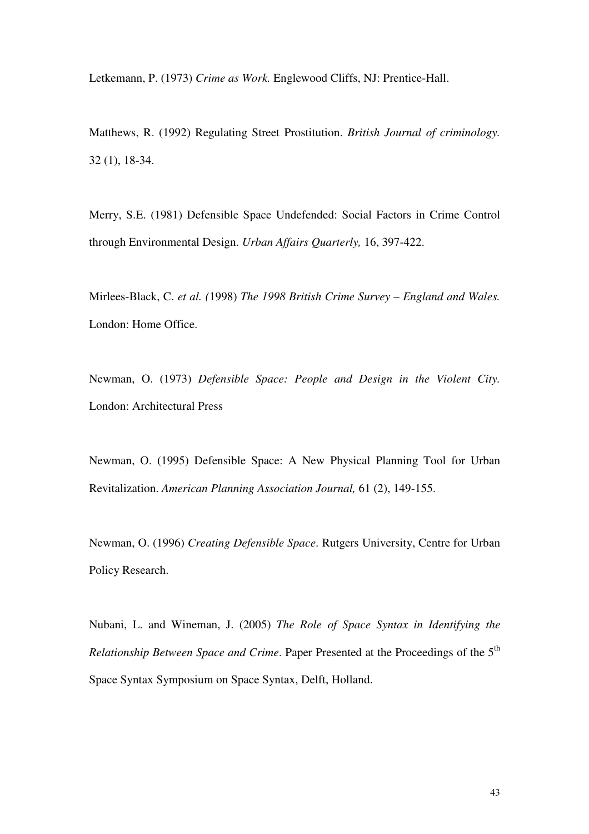Letkemann, P. (1973) *Crime as Work.* Englewood Cliffs, NJ: Prentice-Hall.

Matthews, R. (1992) Regulating Street Prostitution. *British Journal of criminology.*  32 (1), 18-34.

Merry, S.E. (1981) Defensible Space Undefended: Social Factors in Crime Control through Environmental Design. *Urban Affairs Quarterly,* 16, 397-422.

Mirlees-Black, C. *et al. (*1998) *The 1998 British Crime Survey – England and Wales.*  London: Home Office.

Newman, O. (1973) *Defensible Space: People and Design in the Violent City.*  London: Architectural Press

Newman, O. (1995) Defensible Space: A New Physical Planning Tool for Urban Revitalization. *American Planning Association Journal,* 61 (2), 149-155.

Newman, O. (1996) *Creating Defensible Space*. Rutgers University, Centre for Urban Policy Research.

Nubani, L. and Wineman, J. (2005) *The Role of Space Syntax in Identifying the Relationship Between Space and Crime*. Paper Presented at the Proceedings of the 5<sup>th</sup> Space Syntax Symposium on Space Syntax, Delft, Holland.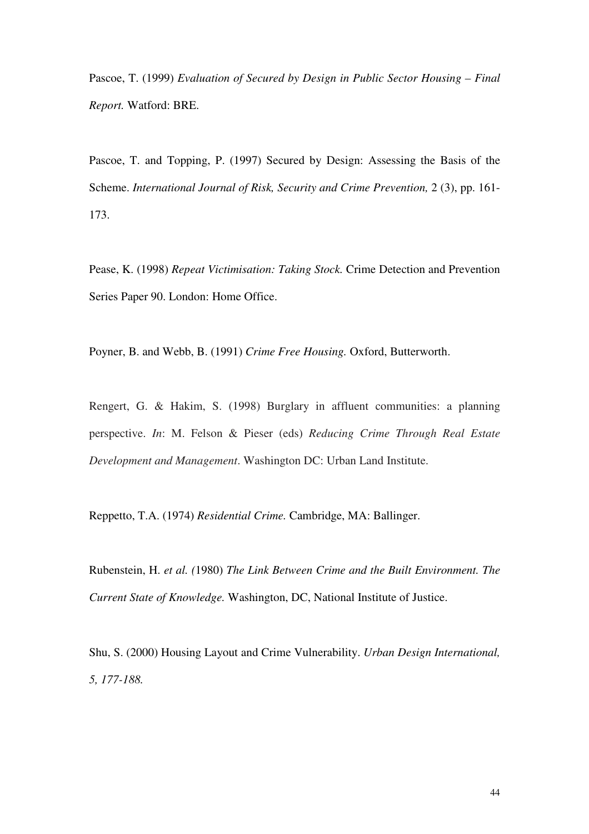Pascoe, T. (1999) *Evaluation of Secured by Design in Public Sector Housing – Final Report.* Watford: BRE.

Pascoe, T. and Topping, P. (1997) Secured by Design: Assessing the Basis of the Scheme. *International Journal of Risk, Security and Crime Prevention, 2 (3), pp. 161-*173.

Pease, K. (1998) *Repeat Victimisation: Taking Stock.* Crime Detection and Prevention Series Paper 90. London: Home Office.

Poyner, B. and Webb, B. (1991) *Crime Free Housing.* Oxford, Butterworth.

Rengert, G. & Hakim, S. (1998) Burglary in affluent communities: a planning perspective. *In*: M. Felson & Pieser (eds) *Reducing Crime Through Real Estate Development and Management*. Washington DC: Urban Land Institute.

Reppetto, T.A. (1974) *Residential Crime.* Cambridge, MA: Ballinger.

Rubenstein, H. *et al. (*1980) *The Link Between Crime and the Built Environment. The Current State of Knowledge.* Washington, DC, National Institute of Justice.

Shu, S. (2000) Housing Layout and Crime Vulnerability. *Urban Design International, 5, 177-188.*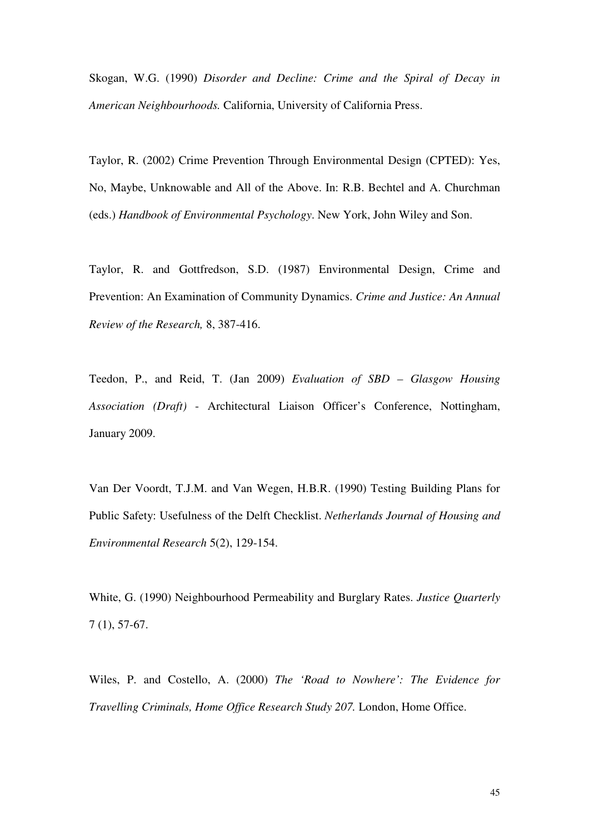Skogan, W.G. (1990) *Disorder and Decline: Crime and the Spiral of Decay in American Neighbourhoods.* California, University of California Press.

Taylor, R. (2002) Crime Prevention Through Environmental Design (CPTED): Yes, No, Maybe, Unknowable and All of the Above. In: R.B. Bechtel and A. Churchman (eds.) *Handbook of Environmental Psychology*. New York, John Wiley and Son.

Taylor, R. and Gottfredson, S.D. (1987) Environmental Design, Crime and Prevention: An Examination of Community Dynamics. *Crime and Justice: An Annual Review of the Research,* 8, 387-416.

Teedon, P., and Reid, T. (Jan 2009) *Evaluation of SBD – Glasgow Housing Association (Draft)* - Architectural Liaison Officer's Conference, Nottingham, January 2009.

Van Der Voordt, T.J.M. and Van Wegen, H.B.R. (1990) Testing Building Plans for Public Safety: Usefulness of the Delft Checklist. *Netherlands Journal of Housing and Environmental Research* 5(2), 129-154.

White, G. (1990) Neighbourhood Permeability and Burglary Rates. *Justice Quarterly* 7 (1), 57-67.

Wiles, P. and Costello, A. (2000) *The 'Road to Nowhere': The Evidence for Travelling Criminals, Home Office Research Study 207.* London, Home Office.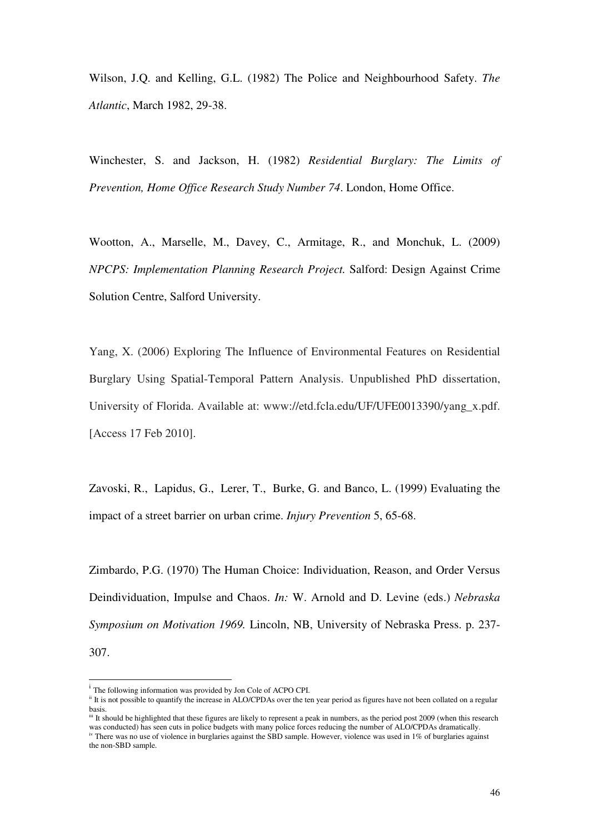Wilson, J.Q. and Kelling, G.L. (1982) The Police and Neighbourhood Safety. *The Atlantic*, March 1982, 29-38.

Winchester, S. and Jackson, H. (1982) *Residential Burglary: The Limits of Prevention, Home Office Research Study Number 74*. London, Home Office.

Wootton, A., Marselle, M., Davey, C., Armitage, R., and Monchuk, L. (2009) *NPCPS: Implementation Planning Research Project.* Salford: Design Against Crime Solution Centre, Salford University.

Yang, X. (2006) Exploring The Influence of Environmental Features on Residential Burglary Using Spatial-Temporal Pattern Analysis. Unpublished PhD dissertation, University of Florida. Available at: www://etd.fcla.edu/UF/UFE0013390/yang\_x.pdf. [Access 17 Feb 2010].

Zavoski, R., Lapidus, G., Lerer, T., Burke, G. and Banco, L. (1999) Evaluating the impact of a street barrier on urban crime. *Injury Prevention* 5, 65-68.

Zimbardo, P.G. (1970) The Human Choice: Individuation, Reason, and Order Versus Deindividuation, Impulse and Chaos. *In:* W. Arnold and D. Levine (eds.) *Nebraska Symposium on Motivation 1969.* Lincoln, NB, University of Nebraska Press. p. 237- 307.

 $\overline{a}$ 

<sup>&</sup>lt;sup>i</sup> The following information was provided by Jon Cole of ACPO CPI.

if it is not possible to quantify the increase in ALO/CPDAs over the ten year period as figures have not been collated on a regular basis.

iii It should be highlighted that these figures are likely to represent a peak in numbers, as the period post 2009 (when this research was conducted) has seen cuts in police budgets with many police forces reducing the number of ALO/CPDAs dramatically. iv There was no use of violence in burglaries against the SBD sample. However, violence was used in 1% of burglaries against the non-SBD sample.